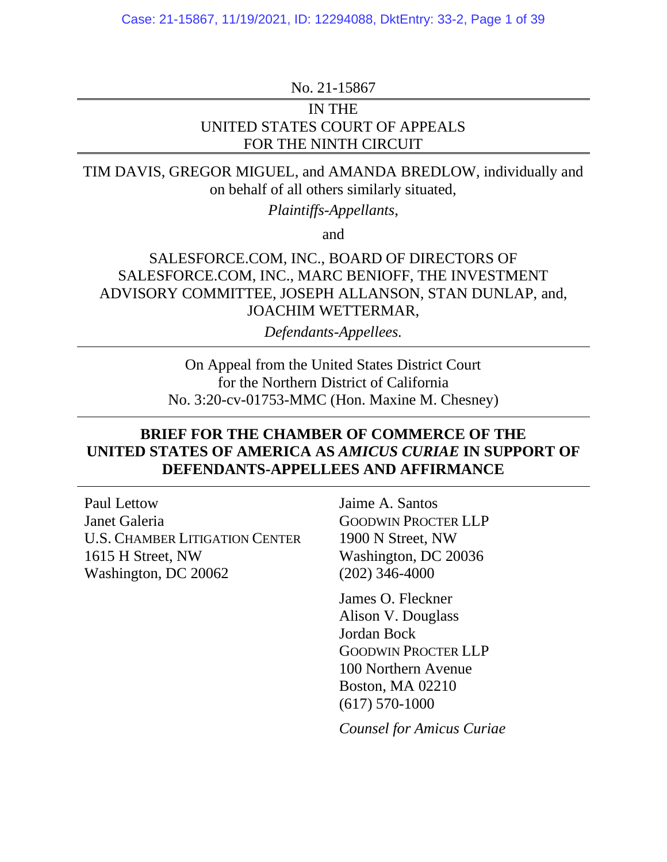No. 21-15867

## IN THE UNITED STATES COURT OF APPEALS FOR THE NINTH CIRCUIT

TIM DAVIS, GREGOR MIGUEL, and AMANDA BREDLOW, individually and on behalf of all others similarly situated,

*Plaintiffs-Appellants*,

and

## SALESFORCE.COM, INC., BOARD OF DIRECTORS OF SALESFORCE.COM, INC., MARC BENIOFF, THE INVESTMENT ADVISORY COMMITTEE, JOSEPH ALLANSON, STAN DUNLAP, and, JOACHIM WETTERMAR,

*Defendants-Appellees.*

On Appeal from the United States District Court for the Northern District of California No. 3:20-cv-01753-MMC (Hon. Maxine M. Chesney)

## **BRIEF FOR THE CHAMBER OF COMMERCE OF THE UNITED STATES OF AMERICA AS** *AMICUS CURIAE* **IN SUPPORT OF DEFENDANTS-APPELLEES AND AFFIRMANCE**

Paul Lettow Janet Galeria U.S. CHAMBER LITIGATION CENTER 1615 H Street, NW Washington, DC 20062

Jaime A. Santos GOODWIN PROCTER LLP 1900 N Street, NW Washington, DC 20036 (202) 346-4000

James O. Fleckner Alison V. Douglass Jordan Bock GOODWIN PROCTER LLP 100 Northern Avenue Boston, MA 02210 (617) 570-1000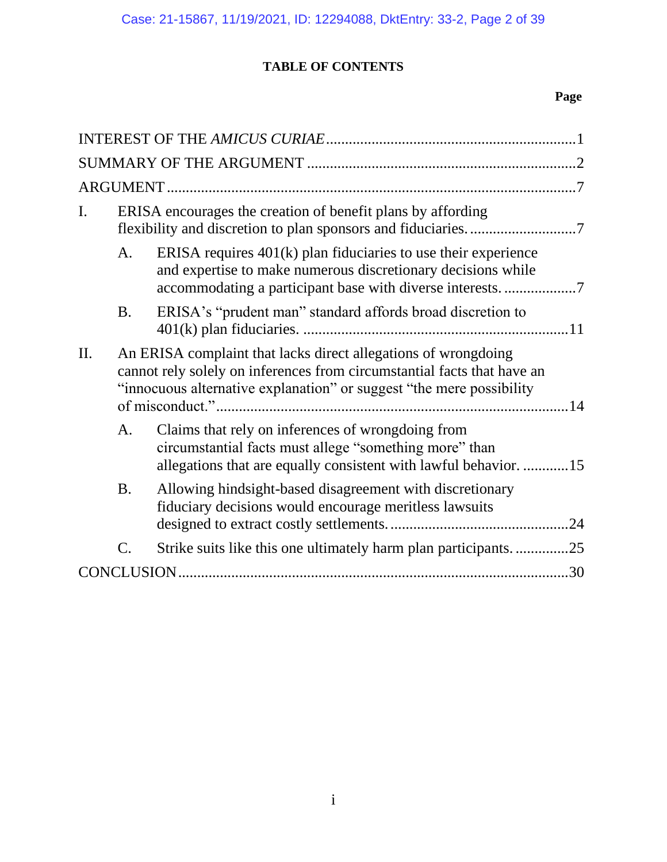# **TABLE OF CONTENTS**

## **Page**

| I. |                                                                                                                                                                                                                   | ERISA encourages the creation of benefit plans by affording                                                                                                                     |  |  |  |
|----|-------------------------------------------------------------------------------------------------------------------------------------------------------------------------------------------------------------------|---------------------------------------------------------------------------------------------------------------------------------------------------------------------------------|--|--|--|
|    | A.                                                                                                                                                                                                                | ERISA requires $401(k)$ plan fiduciaries to use their experience<br>and expertise to make numerous discretionary decisions while                                                |  |  |  |
|    | <b>B.</b>                                                                                                                                                                                                         | ERISA's "prudent man" standard affords broad discretion to                                                                                                                      |  |  |  |
| П. | An ERISA complaint that lacks direct allegations of wrongdoing<br>cannot rely solely on inferences from circumstantial facts that have an<br>"innocuous alternative explanation" or suggest "the mere possibility |                                                                                                                                                                                 |  |  |  |
|    | A.                                                                                                                                                                                                                | Claims that rely on inferences of wrongdoing from<br>circumstantial facts must allege "something more" than<br>allegations that are equally consistent with lawful behavior. 15 |  |  |  |
|    | <b>B.</b>                                                                                                                                                                                                         | Allowing hindsight-based disagreement with discretionary<br>fiduciary decisions would encourage meritless lawsuits                                                              |  |  |  |
|    | C.                                                                                                                                                                                                                | Strike suits like this one ultimately harm plan participants25                                                                                                                  |  |  |  |
|    |                                                                                                                                                                                                                   |                                                                                                                                                                                 |  |  |  |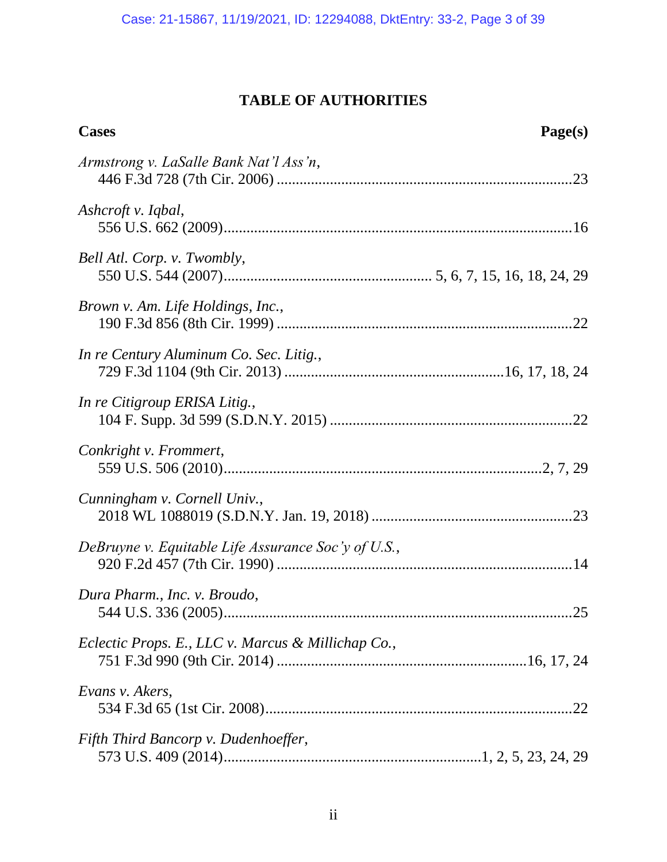# **TABLE OF AUTHORITIES**

| <b>Cases</b>                                        | Page(s) |
|-----------------------------------------------------|---------|
| Armstrong v. LaSalle Bank Nat'l Ass'n,              |         |
| Ashcroft v. Iqbal,                                  |         |
| Bell Atl. Corp. v. Twombly,                         |         |
| Brown v. Am. Life Holdings, Inc.,                   |         |
| In re Century Aluminum Co. Sec. Litig.,             |         |
| In re Citigroup ERISA Litig.,                       |         |
| Conkright v. Frommert,                              |         |
| Cunningham v. Cornell Univ.,                        |         |
| DeBruyne v. Equitable Life Assurance Soc'y of U.S., |         |
| Dura Pharm., Inc. v. Broudo,                        |         |
| Eclectic Props. E., LLC v. Marcus & Millichap Co.,  |         |
| Evans v. Akers,                                     |         |
| Fifth Third Bancorp v. Dudenhoeffer,                |         |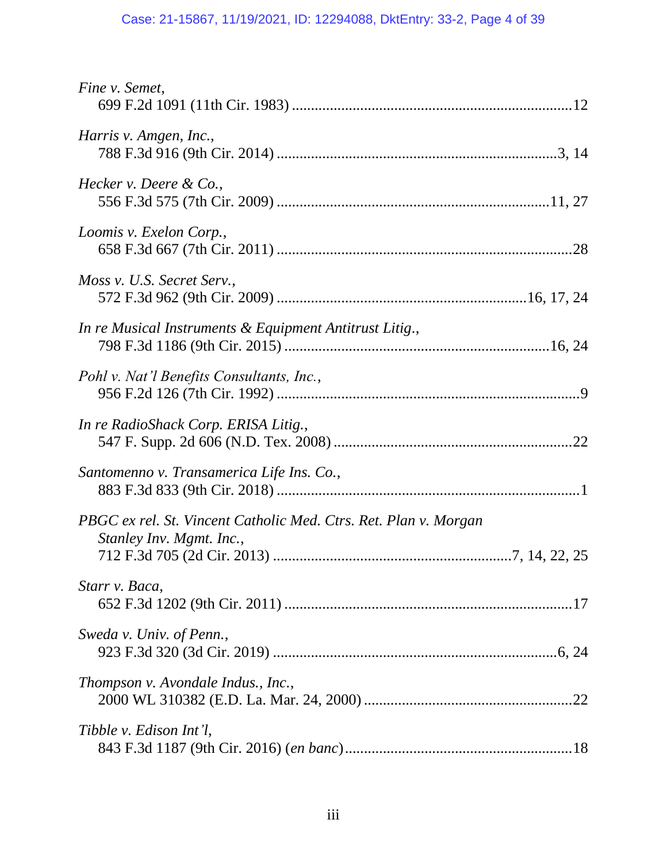# Case: 21-15867, 11/19/2021, ID: 12294088, DktEntry: 33-2, Page 4 of 39

| Fine v. Semet,                                                                               |  |
|----------------------------------------------------------------------------------------------|--|
| Harris v. Amgen, Inc.,                                                                       |  |
| Hecker v. Deere $\&$ Co.,                                                                    |  |
| Loomis v. Exelon Corp.,                                                                      |  |
| Moss v. U.S. Secret Serv.,                                                                   |  |
| In re Musical Instruments & Equipment Antitrust Litig.,                                      |  |
| Pohl v. Nat'l Benefits Consultants, Inc.,                                                    |  |
| In re RadioShack Corp. ERISA Litig.,                                                         |  |
| Santomenno v. Transamerica Life Ins. Co.,                                                    |  |
| PBGC ex rel. St. Vincent Catholic Med. Ctrs. Ret. Plan v. Morgan<br>Stanley Inv. Mgmt. Inc., |  |
| Starr v. Baca,                                                                               |  |
| Sweda v. Univ. of Penn.,                                                                     |  |
| Thompson v. Avondale Indus., Inc.,                                                           |  |
| Tibble v. Edison Int'l,                                                                      |  |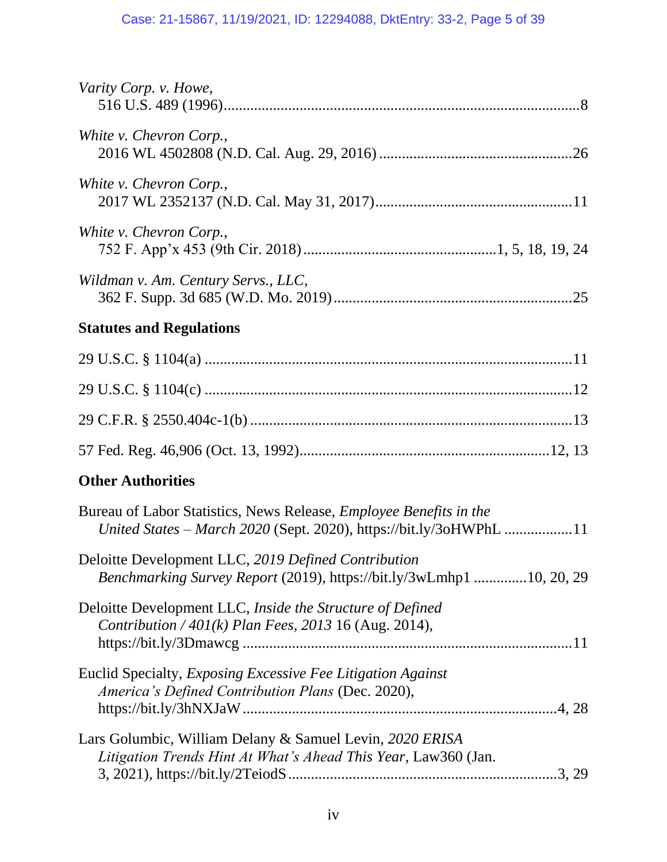# Case: 21-15867, 11/19/2021, ID: 12294088, DktEntry: 33-2, Page 5 of 39

| Varity Corp. v. Howe,                                                                                                                           |
|-------------------------------------------------------------------------------------------------------------------------------------------------|
| White v. Chevron Corp.,                                                                                                                         |
| White v. Chevron Corp.,                                                                                                                         |
| White v. Chevron Corp.,                                                                                                                         |
| Wildman v. Am. Century Servs., LLC,                                                                                                             |
| <b>Statutes and Regulations</b>                                                                                                                 |
|                                                                                                                                                 |
|                                                                                                                                                 |
|                                                                                                                                                 |
|                                                                                                                                                 |
| <b>Other Authorities</b>                                                                                                                        |
| Bureau of Labor Statistics, News Release, <i>Employee Benefits in the</i><br>United States - March 2020 (Sept. 2020), https://bit.ly/3oHWPhL 11 |
| Deloitte Development LLC, 2019 Defined Contribution<br>Benchmarking Survey Report (2019), https://bit.ly/3wLmhp1 10, 20, 29                     |
| Deloitte Development LLC, Inside the Structure of Defined<br><i>Contribution</i> / $401(k)$ <i>Plan Fees, 2013</i> 16 (Aug. 2014),              |
| Euclid Specialty, Exposing Excessive Fee Litigation Against<br>America's Defined Contribution Plans (Dec. 2020),                                |
| Lars Golumbic, William Delany & Samuel Levin, 2020 ERISA<br>Litigation Trends Hint At What's Ahead This Year, Law360 (Jan.                      |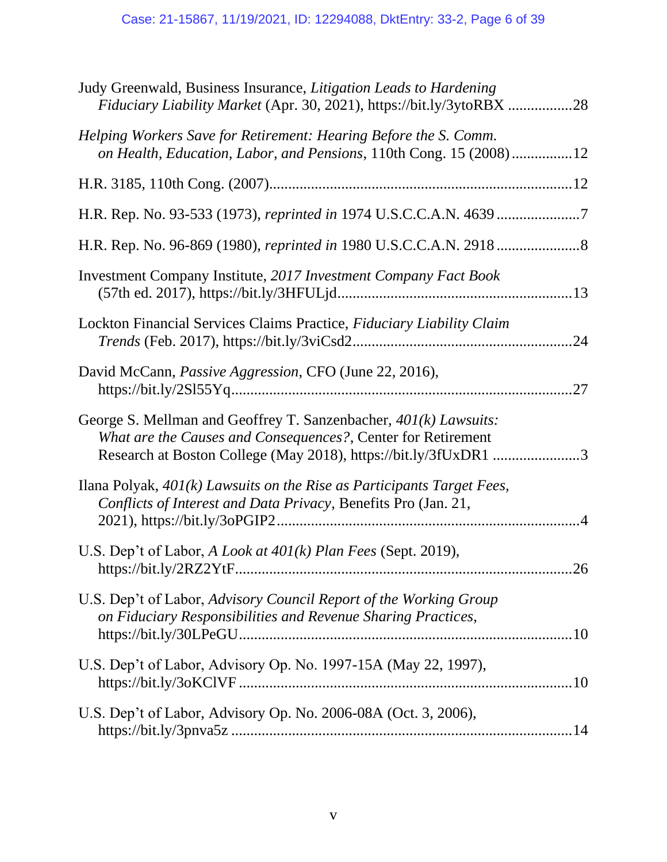| Judy Greenwald, Business Insurance, <i>Litigation Leads to Hardening</i><br>Fiduciary Liability Market (Apr. 30, 2021), https://bit.ly/3ytoRBX 28                                                  |    |
|----------------------------------------------------------------------------------------------------------------------------------------------------------------------------------------------------|----|
| Helping Workers Save for Retirement: Hearing Before the S. Comm.<br>on Health, Education, Labor, and Pensions, 110th Cong. 15 (2008)12                                                             |    |
|                                                                                                                                                                                                    |    |
| H.R. Rep. No. 93-533 (1973), reprinted in 1974 U.S.C.C.A.N. 4639                                                                                                                                   |    |
|                                                                                                                                                                                                    |    |
| <b>Investment Company Institute, 2017 Investment Company Fact Book</b>                                                                                                                             |    |
| Lockton Financial Services Claims Practice, Fiduciary Liability Claim                                                                                                                              |    |
| David McCann, <i>Passive Aggression</i> , CFO (June 22, 2016),                                                                                                                                     |    |
| George S. Mellman and Geoffrey T. Sanzenbacher, 401(k) Lawsuits:<br>What are the Causes and Consequences?, Center for Retirement<br>Research at Boston College (May 2018), https://bit.ly/3fUxDR13 |    |
| Ilana Polyak, $401(k)$ Lawsuits on the Rise as Participants Target Fees,<br>Conflicts of Interest and Data Privacy, Benefits Pro (Jan. 21,                                                         |    |
| U.S. Dep't of Labor, A Look at 401(k) Plan Fees (Sept. 2019),                                                                                                                                      | 26 |
| U.S. Dep't of Labor, Advisory Council Report of the Working Group<br>on Fiduciary Responsibilities and Revenue Sharing Practices,                                                                  |    |
| U.S. Dep't of Labor, Advisory Op. No. 1997-15A (May 22, 1997),                                                                                                                                     |    |
| U.S. Dep't of Labor, Advisory Op. No. 2006-08A (Oct. 3, 2006),                                                                                                                                     |    |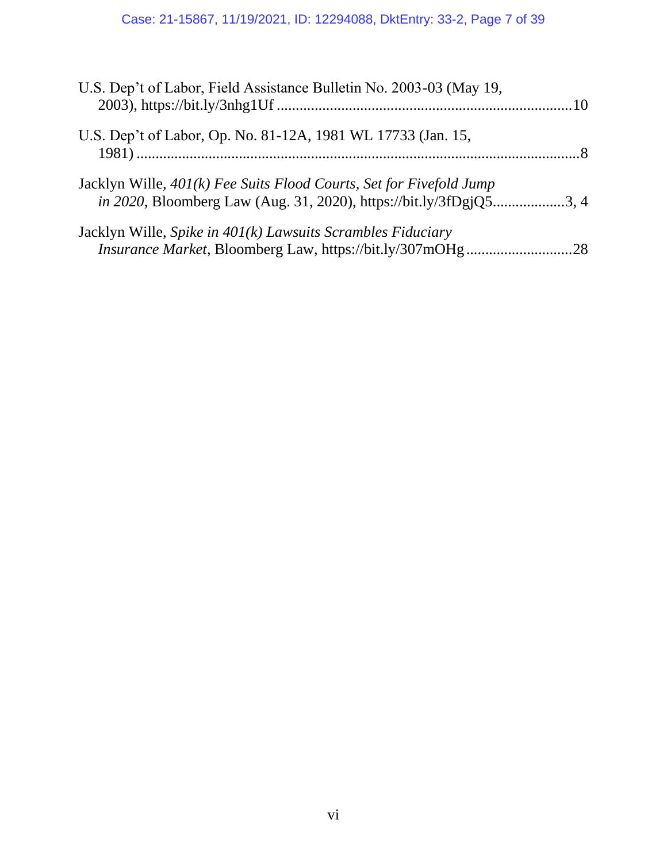# Case: 21-15867, 11/19/2021, ID: 12294088, DktEntry: 33-2, Page 7 of 39

| U.S. Dep't of Labor, Field Assistance Bulletin No. 2003-03 (May 19,                                                                               |  |
|---------------------------------------------------------------------------------------------------------------------------------------------------|--|
| U.S. Dep't of Labor, Op. No. 81-12A, 1981 WL 17733 (Jan. 15,                                                                                      |  |
| Jacklyn Wille, 401(k) Fee Suits Flood Courts, Set for Fivefold Jump<br><i>in 2020</i> , Bloomberg Law (Aug. 31, 2020), https://bit.ly/3fDgjQ53, 4 |  |
| Jacklyn Wille, Spike in $401(k)$ Lawsuits Scrambles Fiduciary                                                                                     |  |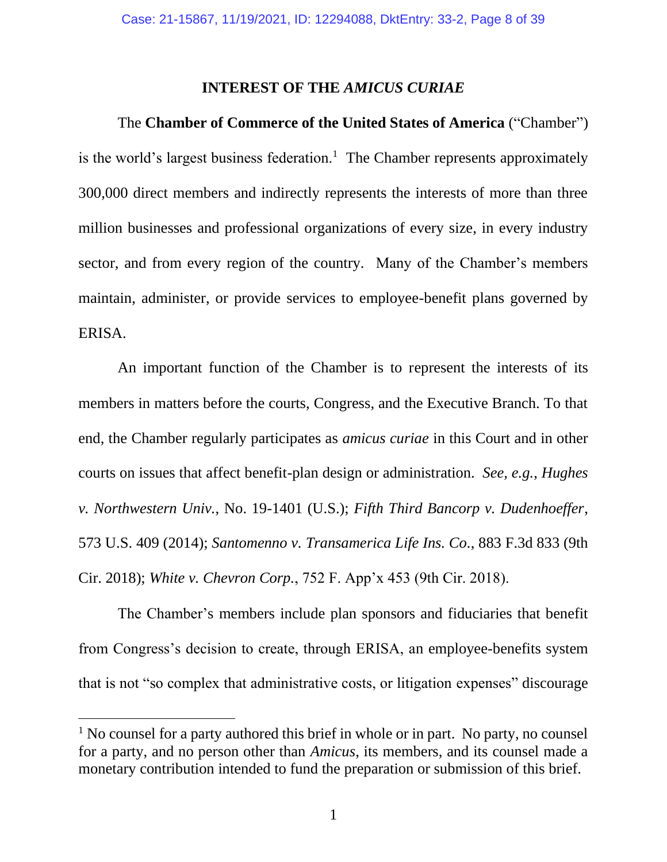### **INTEREST OF THE** *AMICUS CURIAE*

<span id="page-7-0"></span>The **Chamber of Commerce of the United States of America** ("Chamber") is the world's largest business federation.<sup>1</sup> The Chamber represents approximately 300,000 direct members and indirectly represents the interests of more than three million businesses and professional organizations of every size, in every industry sector, and from every region of the country. Many of the Chamber's members maintain, administer, or provide services to employee-benefit plans governed by ERISA.

An important function of the Chamber is to represent the interests of its members in matters before the courts, Congress, and the Executive Branch. To that end, the Chamber regularly participates as *amicus curiae* in this Court and in other courts on issues that affect benefit-plan design or administration. *See, e.g.*, *Hughes v. Northwestern Univ.*, No. 19-1401 (U.S.); *Fifth Third Bancorp v. Dudenhoeffer*, 573 U.S. 409 (2014); *Santomenno v. Transamerica Life Ins. Co.*, 883 F.3d 833 (9th Cir. 2018); *White v. Chevron Corp.*, 752 F. App'x 453 (9th Cir. 2018).

<span id="page-7-3"></span><span id="page-7-2"></span><span id="page-7-1"></span>The Chamber's members include plan sponsors and fiduciaries that benefit from Congress's decision to create, through ERISA, an employee-benefits system that is not "so complex that administrative costs, or litigation expenses" discourage

 $<sup>1</sup>$  No counsel for a party authored this brief in whole or in part. No party, no counsel</sup> for a party, and no person other than *Amicus*, its members, and its counsel made a monetary contribution intended to fund the preparation or submission of this brief.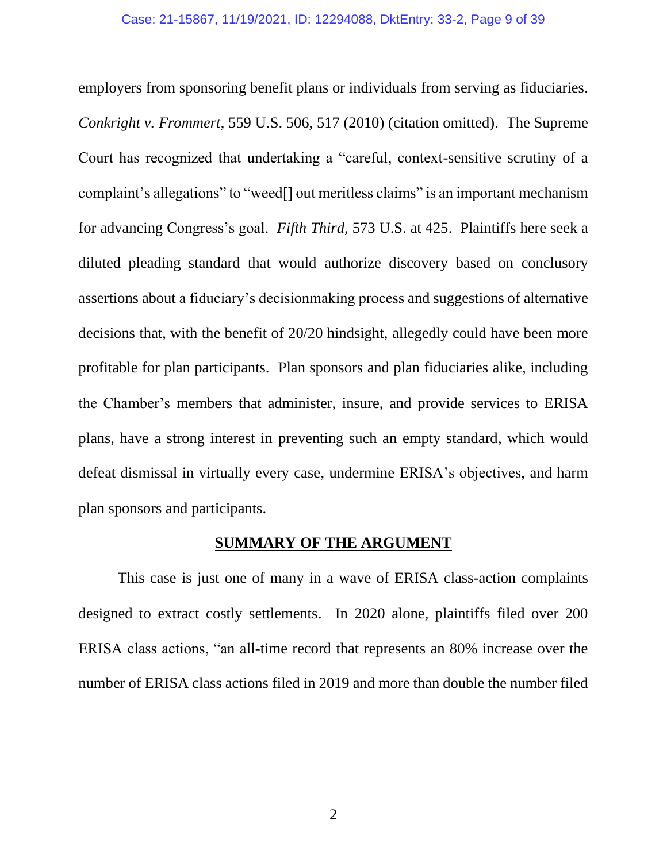<span id="page-8-2"></span><span id="page-8-1"></span>employers from sponsoring benefit plans or individuals from serving as fiduciaries. *Conkright v. Frommert*, 559 U.S. 506, 517 (2010) (citation omitted). The Supreme Court has recognized that undertaking a "careful, context-sensitive scrutiny of a complaint's allegations" to "weed[] out meritless claims" is an important mechanism for advancing Congress's goal. *Fifth Third*, 573 U.S. at 425. Plaintiffs here seek a diluted pleading standard that would authorize discovery based on conclusory assertions about a fiduciary's decisionmaking process and suggestions of alternative decisions that, with the benefit of 20/20 hindsight, allegedly could have been more profitable for plan participants. Plan sponsors and plan fiduciaries alike, including the Chamber's members that administer, insure, and provide services to ERISA plans, have a strong interest in preventing such an empty standard, which would defeat dismissal in virtually every case, undermine ERISA's objectives, and harm plan sponsors and participants.

## **SUMMARY OF THE ARGUMENT**

<span id="page-8-0"></span>This case is just one of many in a wave of ERISA class-action complaints designed to extract costly settlements. In 2020 alone, plaintiffs filed over 200 ERISA class actions, "an all-time record that represents an 80% increase over the number of ERISA class actions filed in 2019 and more than double the number filed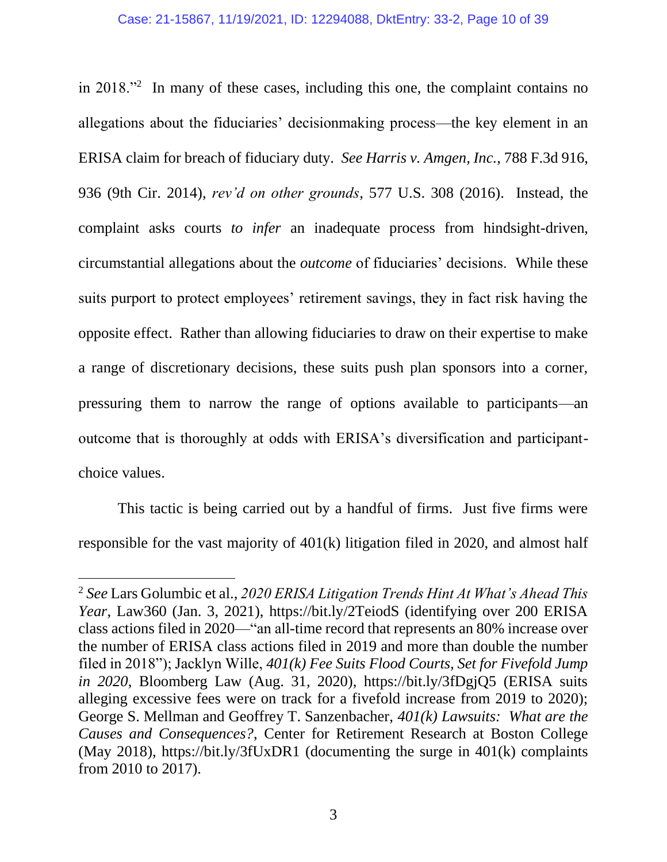<span id="page-9-0"></span>in 2018."<sup>2</sup> In many of these cases, including this one, the complaint contains no allegations about the fiduciaries' decisionmaking process—the key element in an ERISA claim for breach of fiduciary duty. *See Harris v. Amgen, Inc.*, 788 F.3d 916, 936 (9th Cir. 2014), *rev'd on other grounds*, 577 U.S. 308 (2016). Instead, the complaint asks courts *to infer* an inadequate process from hindsight-driven, circumstantial allegations about the *outcome* of fiduciaries' decisions. While these suits purport to protect employees' retirement savings, they in fact risk having the opposite effect. Rather than allowing fiduciaries to draw on their expertise to make a range of discretionary decisions, these suits push plan sponsors into a corner, pressuring them to narrow the range of options available to participants—an outcome that is thoroughly at odds with ERISA's diversification and participantchoice values.

This tactic is being carried out by a handful of firms. Just five firms were responsible for the vast majority of 401(k) litigation filed in 2020, and almost half

<span id="page-9-3"></span><span id="page-9-2"></span><span id="page-9-1"></span><sup>2</sup> *See* Lars Golumbic et al., *2020 ERISA Litigation Trends Hint At What's Ahead This Year*, Law360 (Jan. 3, 2021), https://bit.ly/2TeiodS (identifying over 200 ERISA class actions filed in 2020—"an all-time record that represents an 80% increase over the number of ERISA class actions filed in 2019 and more than double the number filed in 2018"); Jacklyn Wille, *401(k) Fee Suits Flood Courts, Set for Fivefold Jump in 2020*, Bloomberg Law (Aug. 31, 2020), https://bit.ly/3fDgjQ5 (ERISA suits alleging excessive fees were on track for a fivefold increase from 2019 to 2020); George S. Mellman and Geoffrey T. Sanzenbacher, *401(k) Lawsuits: What are the Causes and Consequences?*, Center for Retirement Research at Boston College (May 2018), https://bit.ly/3fUxDR1 (documenting the surge in 401(k) complaints from 2010 to 2017).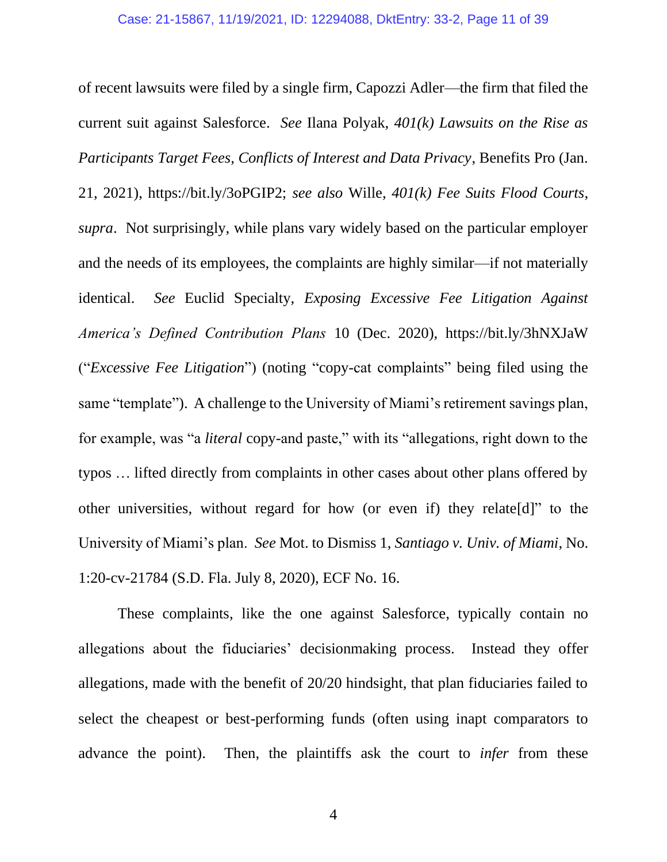<span id="page-10-2"></span><span id="page-10-1"></span><span id="page-10-0"></span>of recent lawsuits were filed by a single firm, Capozzi Adler—the firm that filed the current suit against Salesforce. *See* Ilana Polyak, *401(k) Lawsuits on the Rise as Participants Target Fees, Conflicts of Interest and Data Privacy*, Benefits Pro (Jan. 21, 2021), https://bit.ly/3oPGIP2; *see also* Wille, *401(k) Fee Suits Flood Courts*, *supra*. Not surprisingly, while plans vary widely based on the particular employer and the needs of its employees, the complaints are highly similar—if not materially identical. *See* Euclid Specialty, *Exposing Excessive Fee Litigation Against America's Defined Contribution Plans* 10 (Dec. 2020), https://bit.ly/3hNXJaW ("*Excessive Fee Litigation*") (noting "copy-cat complaints" being filed using the same "template"). A challenge to the University of Miami's retirement savings plan, for example, was "a *literal* copy-and paste," with its "allegations, right down to the typos … lifted directly from complaints in other cases about other plans offered by other universities, without regard for how (or even if) they relate[d]" to the University of Miami's plan. *See* Mot. to Dismiss 1, *Santiago v. Univ. of Miami*, No. 1:20-cv-21784 (S.D. Fla. July 8, 2020), ECF No. 16.

These complaints, like the one against Salesforce, typically contain no allegations about the fiduciaries' decisionmaking process. Instead they offer allegations, made with the benefit of 20/20 hindsight, that plan fiduciaries failed to select the cheapest or best-performing funds (often using inapt comparators to advance the point). Then, the plaintiffs ask the court to *infer* from these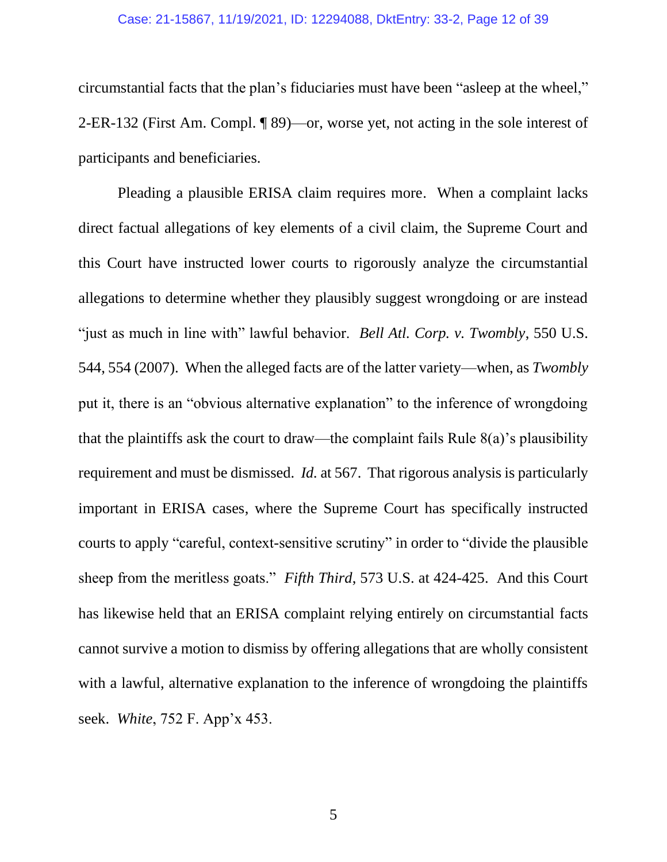#### Case: 21-15867, 11/19/2021, ID: 12294088, DktEntry: 33-2, Page 12 of 39

circumstantial facts that the plan's fiduciaries must have been "asleep at the wheel," 2-ER-132 (First Am. Compl. ¶ 89)—or, worse yet, not acting in the sole interest of participants and beneficiaries.

<span id="page-11-2"></span><span id="page-11-1"></span><span id="page-11-0"></span>Pleading a plausible ERISA claim requires more. When a complaint lacks direct factual allegations of key elements of a civil claim, the Supreme Court and this Court have instructed lower courts to rigorously analyze the circumstantial allegations to determine whether they plausibly suggest wrongdoing or are instead "just as much in line with" lawful behavior. *Bell Atl. Corp. v. Twombly*, 550 U.S. 544, 554 (2007). When the alleged facts are of the latter variety—when, as *Twombly* put it, there is an "obvious alternative explanation" to the inference of wrongdoing that the plaintiffs ask the court to draw—the complaint fails Rule  $8(a)$ 's plausibility requirement and must be dismissed. *Id.* at 567. That rigorous analysis is particularly important in ERISA cases, where the Supreme Court has specifically instructed courts to apply "careful, context-sensitive scrutiny" in order to "divide the plausible sheep from the meritless goats." *Fifth Third*, 573 U.S. at 424-425. And this Court has likewise held that an ERISA complaint relying entirely on circumstantial facts cannot survive a motion to dismiss by offering allegations that are wholly consistent with a lawful, alternative explanation to the inference of wrongdoing the plaintiffs seek. *White*, 752 F. App'x 453.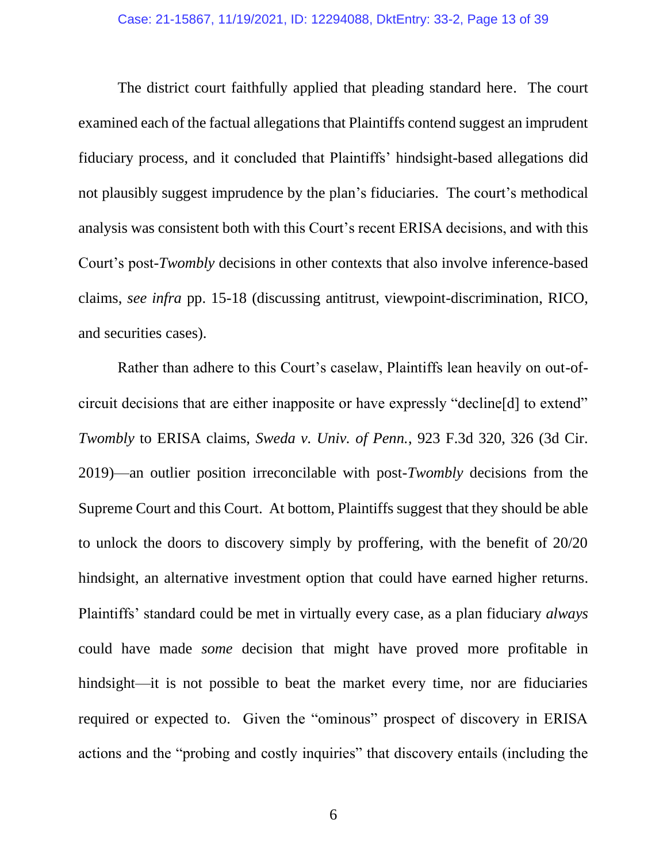The district court faithfully applied that pleading standard here. The court examined each of the factual allegations that Plaintiffs contend suggest an imprudent fiduciary process, and it concluded that Plaintiffs' hindsight-based allegations did not plausibly suggest imprudence by the plan's fiduciaries. The court's methodical analysis was consistent both with this Court's recent ERISA decisions, and with this Court's post-*Twombly* decisions in other contexts that also involve inference-based claims, *see infra* pp. 15-18 (discussing antitrust, viewpoint-discrimination, RICO, and securities cases).

<span id="page-12-1"></span><span id="page-12-0"></span>Rather than adhere to this Court's caselaw, Plaintiffs lean heavily on out-ofcircuit decisions that are either inapposite or have expressly "decline[d] to extend" *Twombly* to ERISA claims, *Sweda v. Univ. of Penn.*, 923 F.3d 320, 326 (3d Cir. 2019)—an outlier position irreconcilable with post-*Twombly* decisions from the Supreme Court and this Court. At bottom, Plaintiffs suggest that they should be able to unlock the doors to discovery simply by proffering, with the benefit of 20/20 hindsight, an alternative investment option that could have earned higher returns. Plaintiffs' standard could be met in virtually every case, as a plan fiduciary *always* could have made *some* decision that might have proved more profitable in hindsight—it is not possible to beat the market every time, nor are fiduciaries required or expected to. Given the "ominous" prospect of discovery in ERISA actions and the "probing and costly inquiries" that discovery entails (including the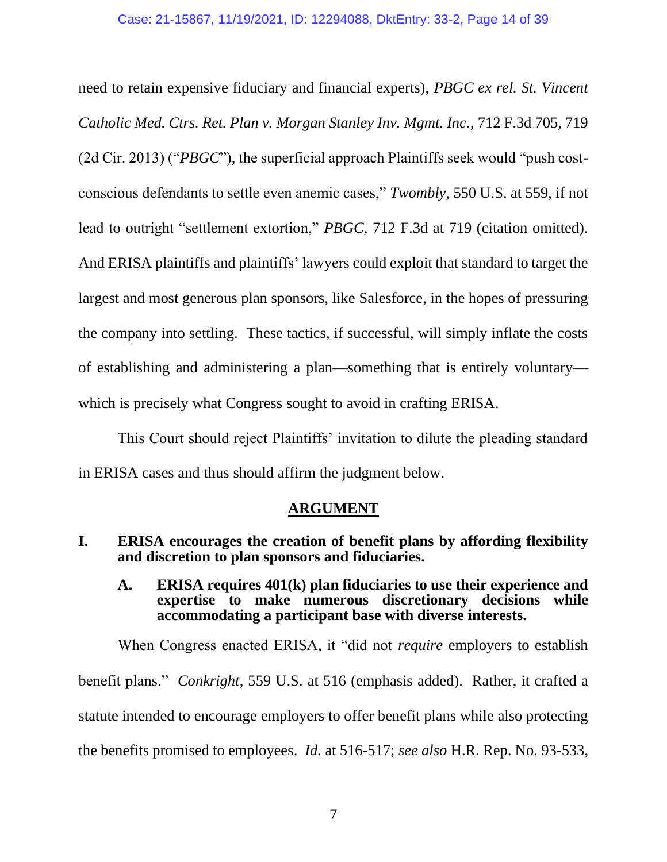<span id="page-13-5"></span><span id="page-13-3"></span>need to retain expensive fiduciary and financial experts), *PBGC ex rel. St. Vincent Catholic Med. Ctrs. Ret. Plan v. Morgan Stanley Inv. Mgmt. Inc.*, 712 F.3d 705, 719 (2d Cir. 2013) ("*PBGC*"), the superficial approach Plaintiffs seek would "push costconscious defendants to settle even anemic cases," *Twombly*, 550 U.S. at 559, if not lead to outright "settlement extortion," *PBGC*, 712 F.3d at 719 (citation omitted). And ERISA plaintiffs and plaintiffs' lawyers could exploit that standard to target the largest and most generous plan sponsors, like Salesforce, in the hopes of pressuring the company into settling. These tactics, if successful, will simply inflate the costs of establishing and administering a plan—something that is entirely voluntary which is precisely what Congress sought to avoid in crafting ERISA.

This Court should reject Plaintiffs' invitation to dilute the pleading standard in ERISA cases and thus should affirm the judgment below.

## <span id="page-13-6"></span>**ARGUMENT**

- <span id="page-13-2"></span><span id="page-13-1"></span><span id="page-13-0"></span>**I. ERISA encourages the creation of benefit plans by affording flexibility and discretion to plan sponsors and fiduciaries.**
	- **A. ERISA requires 401(k) plan fiduciaries to use their experience and expertise to make numerous discretionary decisions while accommodating a participant base with diverse interests.**

<span id="page-13-4"></span>When Congress enacted ERISA, it "did not *require* employers to establish benefit plans." *Conkright*, 559 U.S. at 516 (emphasis added). Rather, it crafted a statute intended to encourage employers to offer benefit plans while also protecting the benefits promised to employees. *Id.* at 516-517; *see also* H.R. Rep. No. 93-533,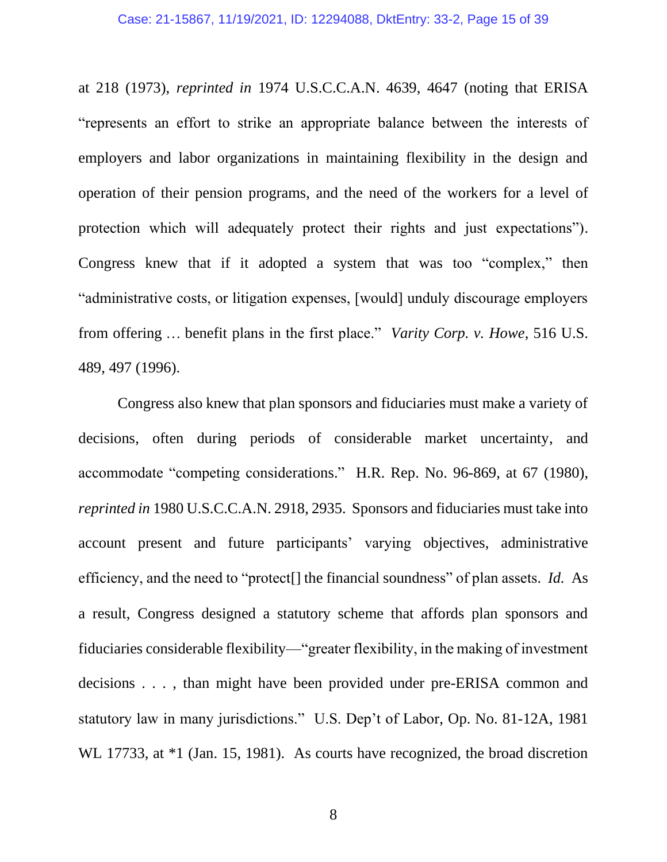at 218 (1973), *reprinted in* 1974 U.S.C.C.A.N. 4639, 4647 (noting that ERISA "represents an effort to strike an appropriate balance between the interests of employers and labor organizations in maintaining flexibility in the design and operation of their pension programs, and the need of the workers for a level of protection which will adequately protect their rights and just expectations"). Congress knew that if it adopted a system that was too "complex," then "administrative costs, or litigation expenses, [would] unduly discourage employers from offering … benefit plans in the first place." *Varity Corp. v. Howe*, 516 U.S. 489, 497 (1996).

<span id="page-14-2"></span><span id="page-14-1"></span><span id="page-14-0"></span>Congress also knew that plan sponsors and fiduciaries must make a variety of decisions, often during periods of considerable market uncertainty, and accommodate "competing considerations." H.R. Rep. No. 96-869, at 67 (1980), *reprinted in* 1980 U.S.C.C.A.N. 2918, 2935. Sponsors and fiduciaries must take into account present and future participants' varying objectives, administrative efficiency, and the need to "protect[] the financial soundness" of plan assets. *Id.* As a result, Congress designed a statutory scheme that affords plan sponsors and fiduciaries considerable flexibility—"greater flexibility, in the making of investment decisions . . . , than might have been provided under pre-ERISA common and statutory law in many jurisdictions." U.S. Dep't of Labor, Op. No. 81-12A, 1981 WL 17733, at  $*1$  (Jan. 15, 1981). As courts have recognized, the broad discretion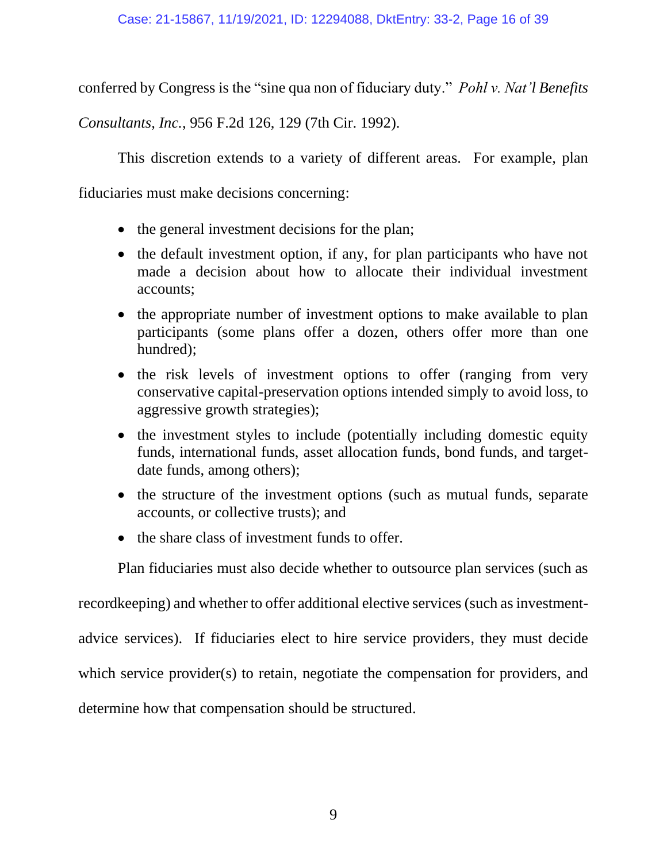conferred by Congress is the "sine qua non of fiduciary duty." *Pohl v. Nat'l Benefits* 

*Consultants, Inc.*, 956 F.2d 126, 129 (7th Cir. 1992).

<span id="page-15-0"></span>This discretion extends to a variety of different areas. For example, plan

fiduciaries must make decisions concerning:

- the general investment decisions for the plan;
- the default investment option, if any, for plan participants who have not made a decision about how to allocate their individual investment accounts;
- the appropriate number of investment options to make available to plan participants (some plans offer a dozen, others offer more than one hundred);
- the risk levels of investment options to offer (ranging from very conservative capital-preservation options intended simply to avoid loss, to aggressive growth strategies);
- the investment styles to include (potentially including domestic equity funds, international funds, asset allocation funds, bond funds, and targetdate funds, among others);
- the structure of the investment options (such as mutual funds, separate accounts, or collective trusts); and
- the share class of investment funds to offer.

Plan fiduciaries must also decide whether to outsource plan services (such as

recordkeeping) and whether to offer additional elective services (such as investment-

advice services). If fiduciaries elect to hire service providers, they must decide

which service provider(s) to retain, negotiate the compensation for providers, and

determine how that compensation should be structured.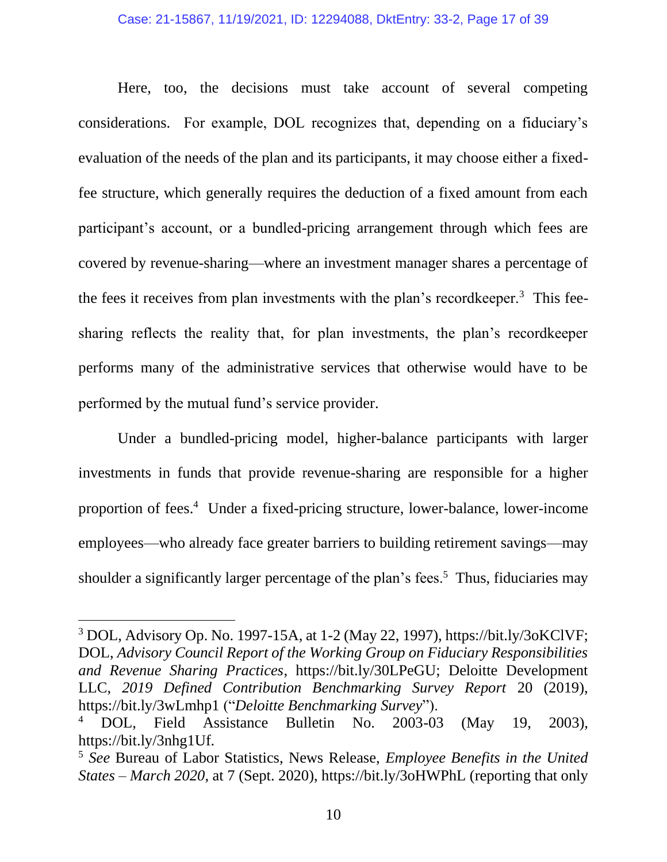### Case: 21-15867, 11/19/2021, ID: 12294088, DktEntry: 33-2, Page 17 of 39

Here, too, the decisions must take account of several competing considerations. For example, DOL recognizes that, depending on a fiduciary's evaluation of the needs of the plan and its participants, it may choose either a fixedfee structure, which generally requires the deduction of a fixed amount from each participant's account, or a bundled-pricing arrangement through which fees are covered by revenue-sharing—where an investment manager shares a percentage of the fees it receives from plan investments with the plan's recordkeeper.<sup>3</sup> This feesharing reflects the reality that, for plan investments, the plan's recordkeeper performs many of the administrative services that otherwise would have to be performed by the mutual fund's service provider.

Under a bundled-pricing model, higher-balance participants with larger investments in funds that provide revenue-sharing are responsible for a higher proportion of fees.<sup>4</sup> Under a fixed-pricing structure, lower-balance, lower-income employees—who already face greater barriers to building retirement savings—may shoulder a significantly larger percentage of the plan's fees.<sup>5</sup> Thus, fiduciaries may

<span id="page-16-1"></span><sup>3</sup> DOL, Advisory Op. No. 1997-15A, at 1-2 (May 22, 1997), https://bit.ly/3oKClVF; DOL, *Advisory Council Report of the Working Group on Fiduciary Responsibilities and Revenue Sharing Practices*, https://bit.ly/30LPeGU; Deloitte Development LLC, *2019 Defined Contribution Benchmarking Survey Report* 20 (2019), https://bit.ly/3wLmhp1 ("*Deloitte Benchmarking Survey*").

<span id="page-16-2"></span><sup>4</sup> DOL, Field Assistance Bulletin No. 2003-03 (May 19, 2003), https://bit.ly/3nhg1Uf.

<span id="page-16-0"></span><sup>5</sup> *See* Bureau of Labor Statistics, News Release, *Employee Benefits in the United States – March 2020*, at 7 (Sept. 2020), https://bit.ly/3oHWPhL (reporting that only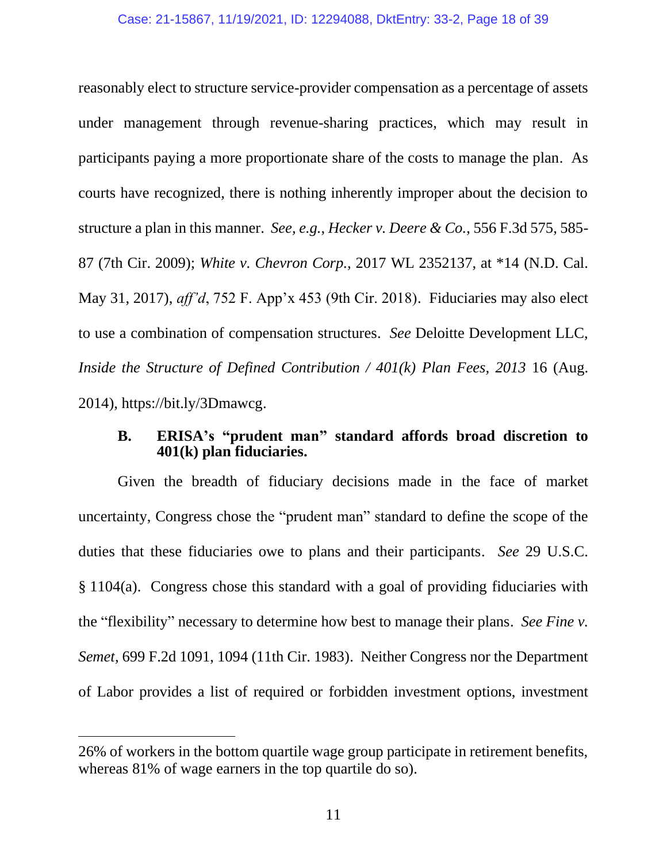<span id="page-17-2"></span>reasonably elect to structure service-provider compensation as a percentage of assets under management through revenue-sharing practices, which may result in participants paying a more proportionate share of the costs to manage the plan. As courts have recognized, there is nothing inherently improper about the decision to structure a plan in this manner. *See, e.g.*, *Hecker v. Deere & Co.*, 556 F.3d 575, 585- 87 (7th Cir. 2009); *White v. Chevron Corp.*, 2017 WL 2352137, at \*14 (N.D. Cal. May 31, 2017), *aff'd*, 752 F. App'x 453 (9th Cir. 2018). Fiduciaries may also elect to use a combination of compensation structures. *See* Deloitte Development LLC, *Inside the Structure of Defined Contribution / 401(k) Plan Fees, 2013* 16 (Aug. 2014), https://bit.ly/3Dmawcg.

## <span id="page-17-5"></span><span id="page-17-4"></span><span id="page-17-3"></span><span id="page-17-1"></span><span id="page-17-0"></span>**B. ERISA's "prudent man" standard affords broad discretion to 401(k) plan fiduciaries.**

Given the breadth of fiduciary decisions made in the face of market uncertainty, Congress chose the "prudent man" standard to define the scope of the duties that these fiduciaries owe to plans and their participants. *See* 29 U.S.C. § 1104(a). Congress chose this standard with a goal of providing fiduciaries with the "flexibility" necessary to determine how best to manage their plans. *See Fine v. Semet*, 699 F.2d 1091, 1094 (11th Cir. 1983). Neither Congress nor the Department of Labor provides a list of required or forbidden investment options, investment

<sup>26%</sup> of workers in the bottom quartile wage group participate in retirement benefits, whereas 81% of wage earners in the top quartile do so).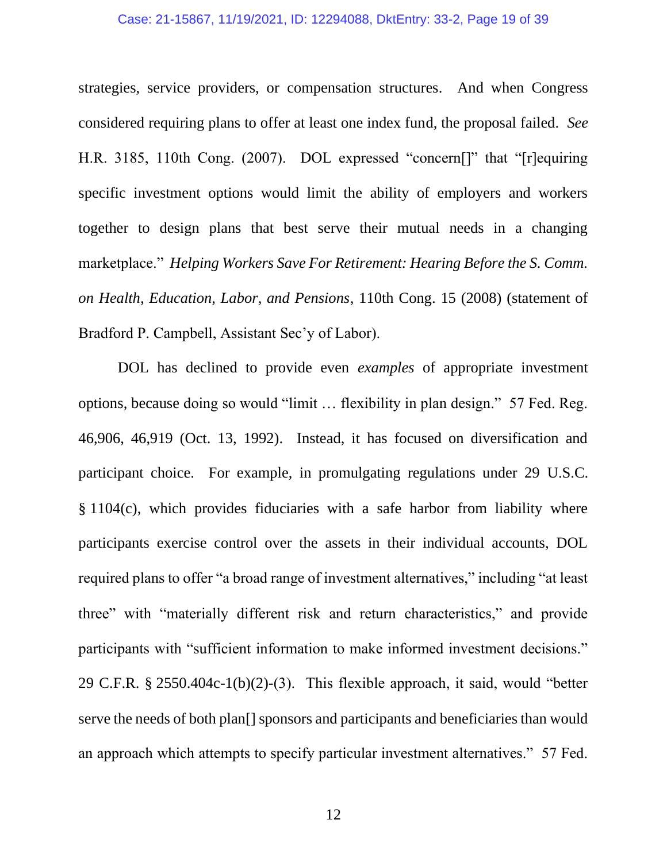### Case: 21-15867, 11/19/2021, ID: 12294088, DktEntry: 33-2, Page 19 of 39

<span id="page-18-4"></span>strategies, service providers, or compensation structures. And when Congress considered requiring plans to offer at least one index fund, the proposal failed. *See*  H.R. 3185, 110th Cong. (2007). DOL expressed "concern[]" that "[r]equiring specific investment options would limit the ability of employers and workers together to design plans that best serve their mutual needs in a changing marketplace." *Helping Workers Save For Retirement: Hearing Before the S. Comm. on Health, Education, Labor, and Pensions*, 110th Cong. 15 (2008) (statement of Bradford P. Campbell, Assistant Sec'y of Labor).

<span id="page-18-3"></span><span id="page-18-2"></span><span id="page-18-1"></span><span id="page-18-0"></span>DOL has declined to provide even *examples* of appropriate investment options, because doing so would "limit … flexibility in plan design." 57 Fed. Reg. 46,906, 46,919 (Oct. 13, 1992). Instead, it has focused on diversification and participant choice. For example, in promulgating regulations under 29 U.S.C. § 1104(c), which provides fiduciaries with a safe harbor from liability where participants exercise control over the assets in their individual accounts, DOL required plans to offer "a broad range of investment alternatives," including "at least three" with "materially different risk and return characteristics," and provide participants with "sufficient information to make informed investment decisions." 29 C.F.R. § 2550.404c-1(b)(2)-(3). This flexible approach, it said, would "better serve the needs of both plan[] sponsors and participants and beneficiaries than would an approach which attempts to specify particular investment alternatives." 57 Fed.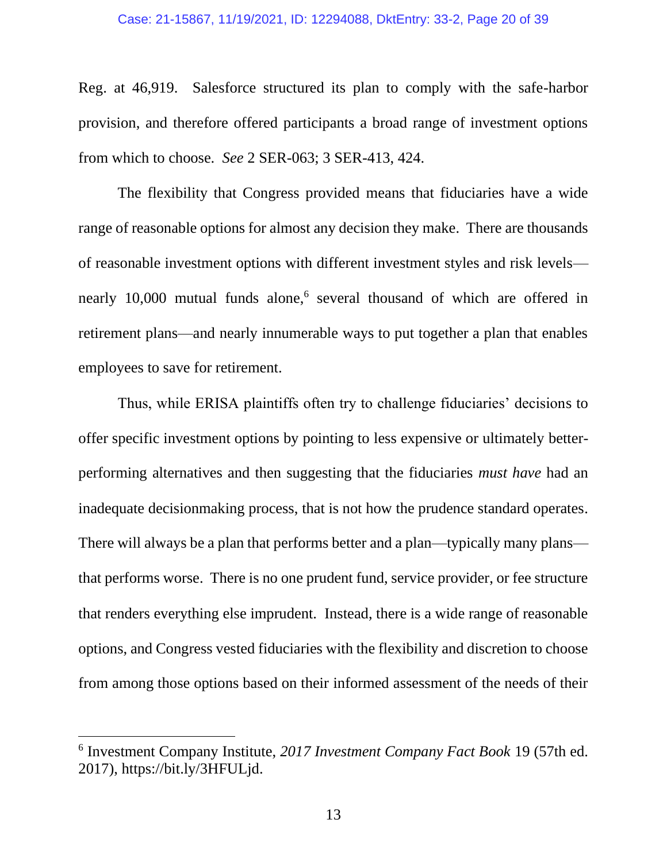#### Case: 21-15867, 11/19/2021, ID: 12294088, DktEntry: 33-2, Page 20 of 39

Reg. at 46,919. Salesforce structured its plan to comply with the safe-harbor provision, and therefore offered participants a broad range of investment options from which to choose. *See* 2 SER-063; 3 SER-413, 424.

The flexibility that Congress provided means that fiduciaries have a wide range of reasonable options for almost any decision they make. There are thousands of reasonable investment options with different investment styles and risk levels nearly 10,000 mutual funds alone,<sup>6</sup> several thousand of which are offered in retirement plans—and nearly innumerable ways to put together a plan that enables employees to save for retirement.

Thus, while ERISA plaintiffs often try to challenge fiduciaries' decisions to offer specific investment options by pointing to less expensive or ultimately betterperforming alternatives and then suggesting that the fiduciaries *must have* had an inadequate decisionmaking process, that is not how the prudence standard operates. There will always be a plan that performs better and a plan—typically many plans that performs worse. There is no one prudent fund, service provider, or fee structure that renders everything else imprudent. Instead, there is a wide range of reasonable options, and Congress vested fiduciaries with the flexibility and discretion to choose from among those options based on their informed assessment of the needs of their

<span id="page-19-0"></span><sup>6</sup> Investment Company Institute, *2017 Investment Company Fact Book* 19 (57th ed. 2017), https://bit.ly/3HFULjd.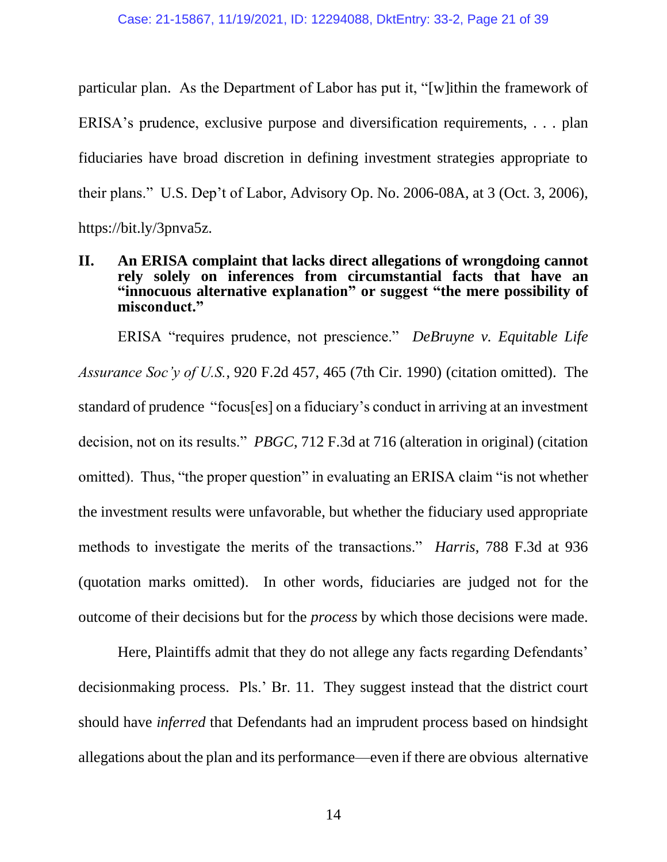particular plan. As the Department of Labor has put it, "[w]ithin the framework of ERISA's prudence, exclusive purpose and diversification requirements, . . . plan fiduciaries have broad discretion in defining investment strategies appropriate to their plans." U.S. Dep't of Labor, Advisory Op. No. 2006-08A, at 3 (Oct. 3, 2006), https://bit.ly/3pnva5z.

## <span id="page-20-4"></span><span id="page-20-0"></span>**II. An ERISA complaint that lacks direct allegations of wrongdoing cannot rely solely on inferences from circumstantial facts that have an "innocuous alternative explanation" or suggest "the mere possibility of misconduct."**

<span id="page-20-3"></span><span id="page-20-1"></span>ERISA "requires prudence, not prescience." *DeBruyne v. Equitable Life Assurance Soc'y of U.S.*, 920 F.2d 457, 465 (7th Cir. 1990) (citation omitted). The standard of prudence "focus[es] on a fiduciary's conduct in arriving at an investment decision, not on its results." *PBGC*, 712 F.3d at 716 (alteration in original) (citation omitted). Thus, "the proper question" in evaluating an ERISA claim "is not whether the investment results were unfavorable, but whether the fiduciary used appropriate methods to investigate the merits of the transactions." *Harris*, 788 F.3d at 936 (quotation marks omitted). In other words, fiduciaries are judged not for the outcome of their decisions but for the *process* by which those decisions were made.

<span id="page-20-2"></span>Here, Plaintiffs admit that they do not allege any facts regarding Defendants' decisionmaking process. Pls.' Br. 11. They suggest instead that the district court should have *inferred* that Defendants had an imprudent process based on hindsight allegations about the plan and its performance—even if there are obvious alternative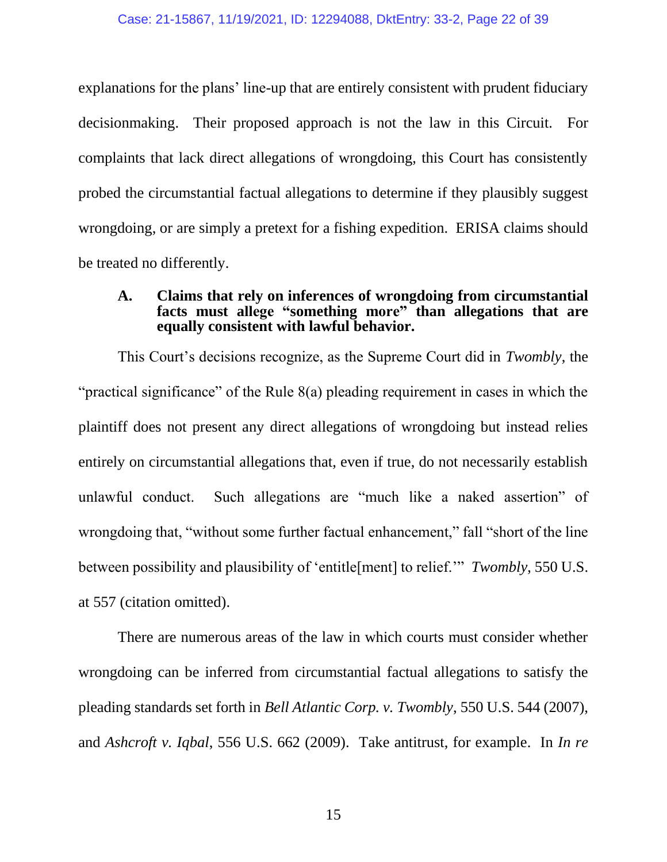explanations for the plans' line-up that are entirely consistent with prudent fiduciary decisionmaking. Their proposed approach is not the law in this Circuit. For complaints that lack direct allegations of wrongdoing, this Court has consistently probed the circumstantial factual allegations to determine if they plausibly suggest wrongdoing, or are simply a pretext for a fishing expedition. ERISA claims should be treated no differently.

## <span id="page-21-2"></span><span id="page-21-0"></span>**A. Claims that rely on inferences of wrongdoing from circumstantial facts must allege "something more" than allegations that are equally consistent with lawful behavior.**

This Court's decisions recognize, as the Supreme Court did in *Twombly*, the "practical significance" of the Rule 8(a) pleading requirement in cases in which the plaintiff does not present any direct allegations of wrongdoing but instead relies entirely on circumstantial allegations that, even if true, do not necessarily establish unlawful conduct. Such allegations are "much like a naked assertion" of wrongdoing that, "without some further factual enhancement," fall "short of the line between possibility and plausibility of 'entitle[ment] to relief.'" *Twombly*, 550 U.S. at 557 (citation omitted).

<span id="page-21-4"></span><span id="page-21-3"></span><span id="page-21-1"></span>There are numerous areas of the law in which courts must consider whether wrongdoing can be inferred from circumstantial factual allegations to satisfy the pleading standards set forth in *Bell Atlantic Corp. v. Twombly*, 550 U.S. 544 (2007), and *Ashcroft v. Iqbal*, 556 U.S. 662 (2009). Take antitrust, for example. In *In re*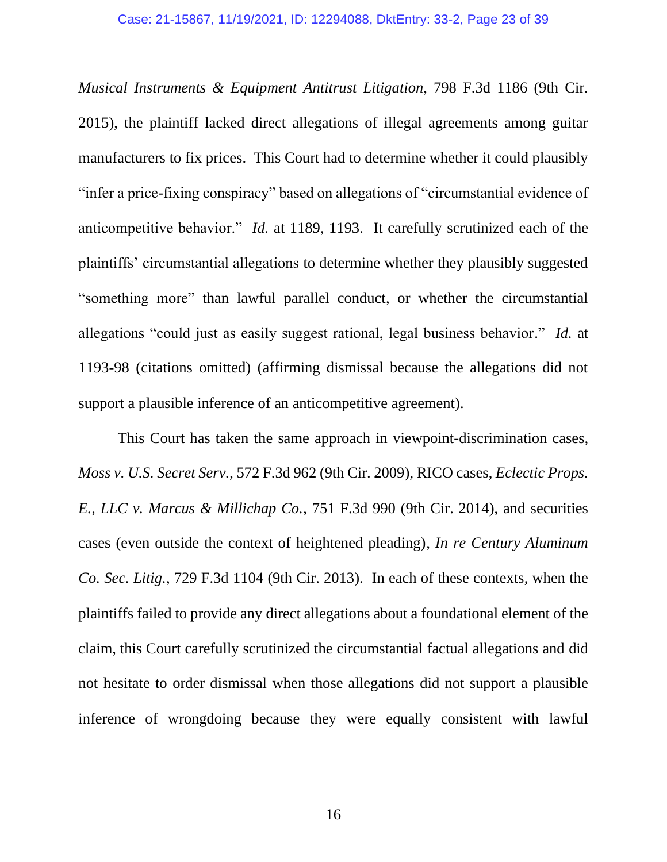*Musical Instruments & Equipment Antitrust Litigation*, 798 F.3d 1186 (9th Cir. 2015), the plaintiff lacked direct allegations of illegal agreements among guitar manufacturers to fix prices. This Court had to determine whether it could plausibly "infer a price-fixing conspiracy" based on allegations of "circumstantial evidence of anticompetitive behavior." *Id.* at 1189, 1193. It carefully scrutinized each of the plaintiffs' circumstantial allegations to determine whether they plausibly suggested "something more" than lawful parallel conduct, or whether the circumstantial allegations "could just as easily suggest rational, legal business behavior." *Id.* at 1193-98 (citations omitted) (affirming dismissal because the allegations did not support a plausible inference of an anticompetitive agreement).

<span id="page-22-2"></span><span id="page-22-1"></span><span id="page-22-0"></span>This Court has taken the same approach in viewpoint-discrimination cases, *Moss v. U.S. Secret Serv.*, 572 F.3d 962 (9th Cir. 2009), RICO cases, *Eclectic Props. E., LLC v. Marcus & Millichap Co.*, 751 F.3d 990 (9th Cir. 2014), and securities cases (even outside the context of heightened pleading), *In re Century Aluminum Co. Sec. Litig.*, 729 F.3d 1104 (9th Cir. 2013). In each of these contexts, when the plaintiffs failed to provide any direct allegations about a foundational element of the claim, this Court carefully scrutinized the circumstantial factual allegations and did not hesitate to order dismissal when those allegations did not support a plausible inference of wrongdoing because they were equally consistent with lawful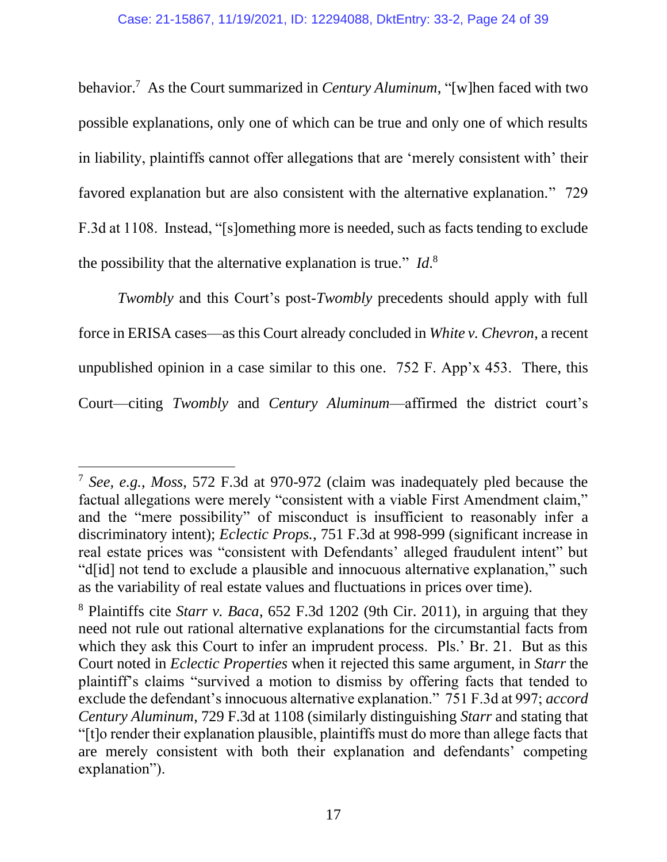<span id="page-23-1"></span>behavior.<sup>7</sup> As the Court summarized in *Century Aluminum*, "[w]hen faced with two possible explanations, only one of which can be true and only one of which results in liability, plaintiffs cannot offer allegations that are 'merely consistent with' their favored explanation but are also consistent with the alternative explanation." 729 F.3d at 1108. Instead, "[s]omething more is needed, such as facts tending to exclude the possibility that the alternative explanation is true." *Id*. 8

<span id="page-23-6"></span><span id="page-23-0"></span>*Twombly* and this Court's post-*Twombly* precedents should apply with full force in ERISA cases—as this Court already concluded in *White v. Chevron*, a recent unpublished opinion in a case similar to this one. 752 F. App'x 453. There, this Court—citing *Twombly* and *Century Aluminum*—affirmed the district court's

<span id="page-23-4"></span><span id="page-23-3"></span><span id="page-23-2"></span><sup>7</sup> *See, e.g.*, *Moss*, 572 F.3d at 970-972 (claim was inadequately pled because the factual allegations were merely "consistent with a viable First Amendment claim," and the "mere possibility" of misconduct is insufficient to reasonably infer a discriminatory intent); *Eclectic Props.*, 751 F.3d at 998-999 (significant increase in real estate prices was "consistent with Defendants' alleged fraudulent intent" but "d[id] not tend to exclude a plausible and innocuous alternative explanation," such as the variability of real estate values and fluctuations in prices over time).

<span id="page-23-5"></span><sup>8</sup> Plaintiffs cite *Starr v. Baca*, 652 F.3d 1202 (9th Cir. 2011), in arguing that they need not rule out rational alternative explanations for the circumstantial facts from which they ask this Court to infer an imprudent process. Pls.' Br. 21. But as this Court noted in *Eclectic Properties* when it rejected this same argument, in *Starr* the plaintiff's claims "survived a motion to dismiss by offering facts that tended to exclude the defendant's innocuous alternative explanation." 751 F.3d at 997; *accord Century Aluminum*, 729 F.3d at 1108 (similarly distinguishing *Starr* and stating that "[t]o render their explanation plausible, plaintiffs must do more than allege facts that are merely consistent with both their explanation and defendants' competing explanation").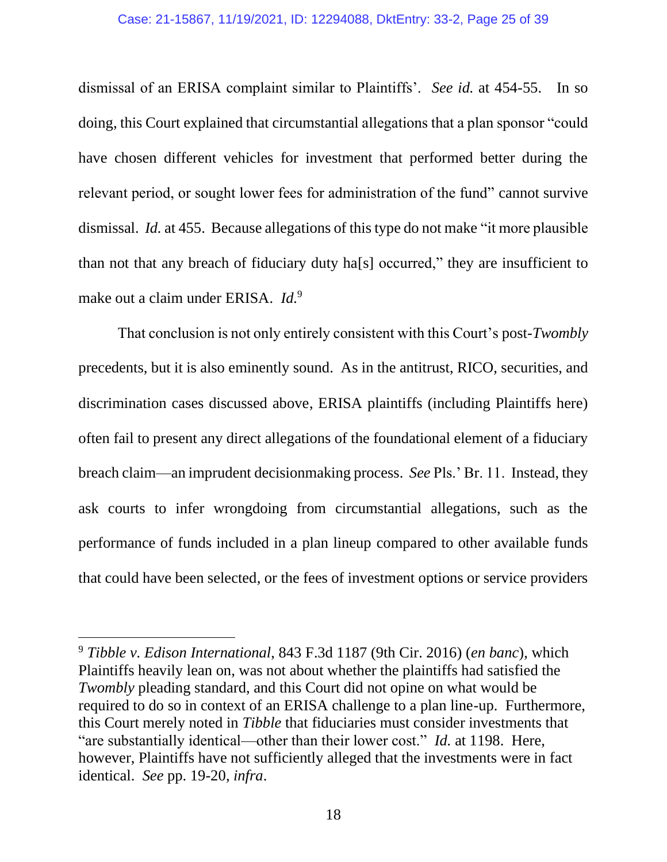### Case: 21-15867, 11/19/2021, ID: 12294088, DktEntry: 33-2, Page 25 of 39

dismissal of an ERISA complaint similar to Plaintiffs'. *See id.* at 454-55. In so doing, this Court explained that circumstantial allegations that a plan sponsor "could have chosen different vehicles for investment that performed better during the relevant period, or sought lower fees for administration of the fund" cannot survive dismissal. *Id.* at 455. Because allegations of this type do not make "it more plausible than not that any breach of fiduciary duty ha[s] occurred," they are insufficient to make out a claim under ERISA. *Id.*<sup>9</sup>

That conclusion is not only entirely consistent with this Court's post-*Twombly* precedents, but it is also eminently sound. As in the antitrust, RICO, securities, and discrimination cases discussed above, ERISA plaintiffs (including Plaintiffs here) often fail to present any direct allegations of the foundational element of a fiduciary breach claim—an imprudent decisionmaking process. *See* Pls.' Br. 11. Instead, they ask courts to infer wrongdoing from circumstantial allegations, such as the performance of funds included in a plan lineup compared to other available funds that could have been selected, or the fees of investment options or service providers

<span id="page-24-0"></span><sup>9</sup> *Tibble v. Edison International*, 843 F.3d 1187 (9th Cir. 2016) (*en banc*), which Plaintiffs heavily lean on, was not about whether the plaintiffs had satisfied the *Twombly pleading standard, and this Court did not opine on what would be* required to do so in context of an ERISA challenge to a plan line-up. Furthermore, this Court merely noted in *Tibble* that fiduciaries must consider investments that "are substantially identical—other than their lower cost." *Id.* at 1198. Here, however, Plaintiffs have not sufficiently alleged that the investments were in fact identical. *See* pp. 19-20, *infra*.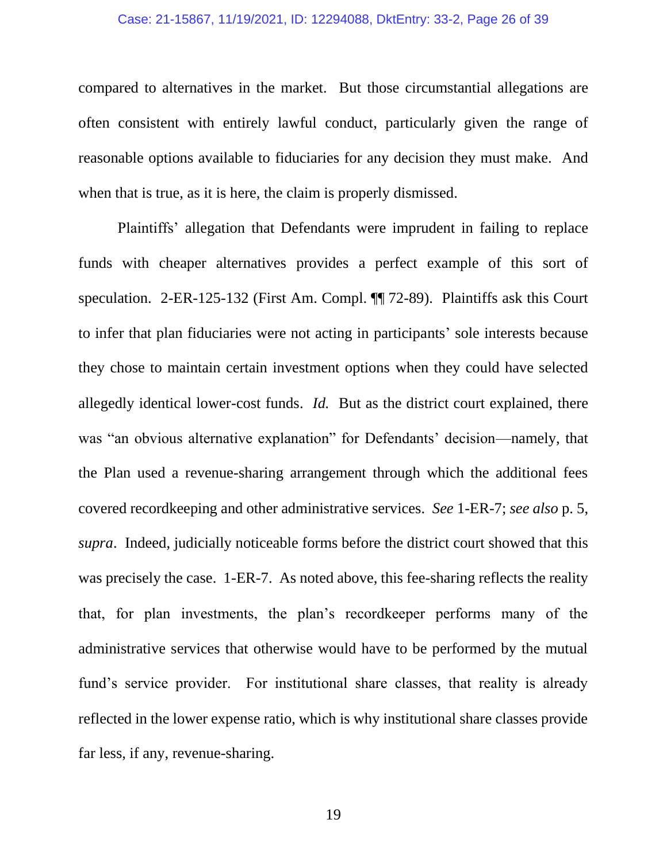#### Case: 21-15867, 11/19/2021, ID: 12294088, DktEntry: 33-2, Page 26 of 39

compared to alternatives in the market. But those circumstantial allegations are often consistent with entirely lawful conduct, particularly given the range of reasonable options available to fiduciaries for any decision they must make. And when that is true, as it is here, the claim is properly dismissed.

<span id="page-25-0"></span>Plaintiffs' allegation that Defendants were imprudent in failing to replace funds with cheaper alternatives provides a perfect example of this sort of speculation. 2-ER-125-132 (First Am. Compl. ¶¶ 72-89). Plaintiffs ask this Court to infer that plan fiduciaries were not acting in participants' sole interests because they chose to maintain certain investment options when they could have selected allegedly identical lower-cost funds. *Id.* But as the district court explained, there was "an obvious alternative explanation" for Defendants' decision—namely, that the Plan used a revenue-sharing arrangement through which the additional fees covered recordkeeping and other administrative services. *See* 1-ER-7; *see also* p. 5, *supra*. Indeed, judicially noticeable forms before the district court showed that this was precisely the case. 1-ER-7. As noted above, this fee-sharing reflects the reality that, for plan investments, the plan's recordkeeper performs many of the administrative services that otherwise would have to be performed by the mutual fund's service provider. For institutional share classes, that reality is already reflected in the lower expense ratio, which is why institutional share classes provide far less, if any, revenue-sharing.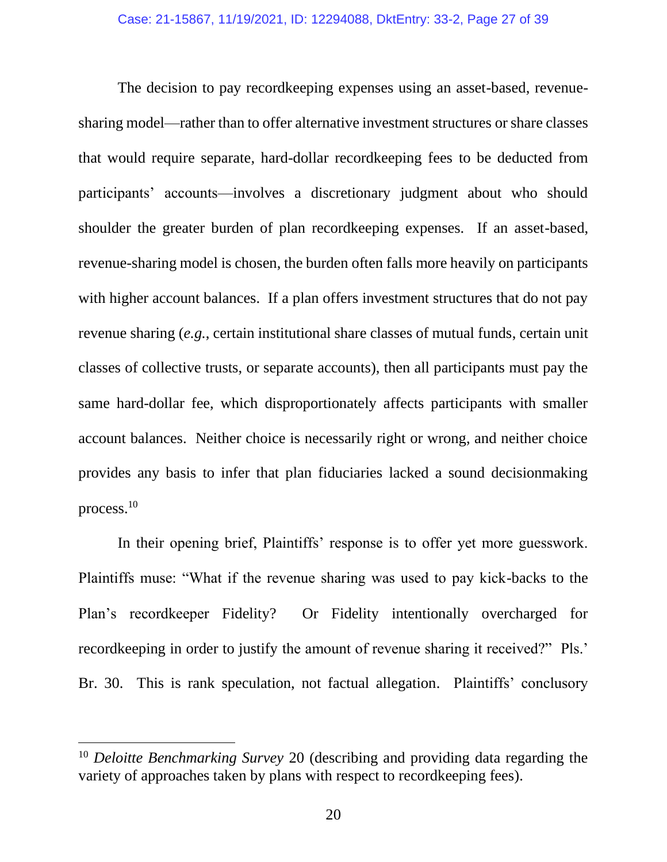The decision to pay recordkeeping expenses using an asset-based, revenuesharing model—rather than to offer alternative investment structures or share classes that would require separate, hard-dollar recordkeeping fees to be deducted from participants' accounts—involves a discretionary judgment about who should shoulder the greater burden of plan recordkeeping expenses. If an asset-based, revenue-sharing model is chosen, the burden often falls more heavily on participants with higher account balances. If a plan offers investment structures that do not pay revenue sharing (*e.g.*, certain institutional share classes of mutual funds, certain unit classes of collective trusts, or separate accounts), then all participants must pay the same hard-dollar fee, which disproportionately affects participants with smaller account balances. Neither choice is necessarily right or wrong, and neither choice provides any basis to infer that plan fiduciaries lacked a sound decisionmaking process.<sup>10</sup>

In their opening brief, Plaintiffs' response is to offer yet more guesswork. Plaintiffs muse: "What if the revenue sharing was used to pay kick-backs to the Plan's recordkeeper Fidelity? Or Fidelity intentionally overcharged for recordkeeping in order to justify the amount of revenue sharing it received?" Pls.' Br. 30. This is rank speculation, not factual allegation. Plaintiffs' conclusory

<span id="page-26-0"></span><sup>10</sup> *Deloitte Benchmarking Survey* 20 (describing and providing data regarding the variety of approaches taken by plans with respect to recordkeeping fees).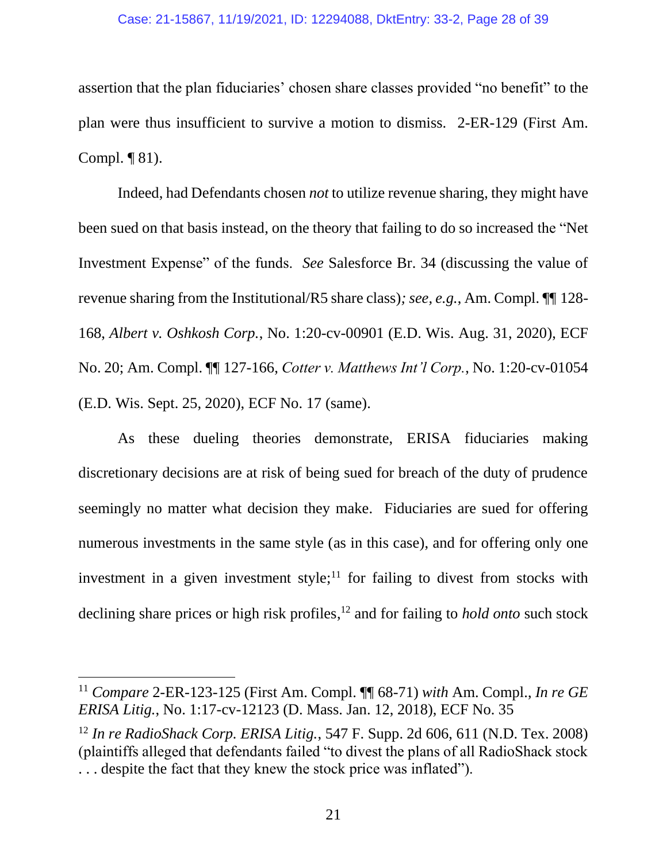### Case: 21-15867, 11/19/2021, ID: 12294088, DktEntry: 33-2, Page 28 of 39

assertion that the plan fiduciaries' chosen share classes provided "no benefit" to the plan were thus insufficient to survive a motion to dismiss. 2-ER-129 (First Am. Compl. ¶ 81).

Indeed, had Defendants chosen *not* to utilize revenue sharing, they might have been sued on that basis instead, on the theory that failing to do so increased the "Net Investment Expense" of the funds. *See* Salesforce Br. 34 (discussing the value of revenue sharing from the Institutional/R5 share class)*; see, e.g.*, Am. Compl. ¶¶ 128- 168, *Albert v. Oshkosh Corp.*, No. 1:20-cv-00901 (E.D. Wis. Aug. 31, 2020), ECF No. 20; Am. Compl. ¶¶ 127-166, *Cotter v. Matthews Int'l Corp.*, No. 1:20-cv-01054 (E.D. Wis. Sept. 25, 2020), ECF No. 17 (same).

As these dueling theories demonstrate, ERISA fiduciaries making discretionary decisions are at risk of being sued for breach of the duty of prudence seemingly no matter what decision they make. Fiduciaries are sued for offering numerous investments in the same style (as in this case), and for offering only one investment in a given investment style; $\frac{11}{11}$  for failing to divest from stocks with declining share prices or high risk profiles, <sup>12</sup> and for failing to *hold onto* such stock

<sup>11</sup> *Compare* 2-ER-123-125 (First Am. Compl. ¶¶ 68-71) *with* Am. Compl., *In re GE ERISA Litig.*, No. 1:17-cv-12123 (D. Mass. Jan. 12, 2018), ECF No. 35

<span id="page-27-0"></span><sup>12</sup> *In re RadioShack Corp. ERISA Litig.*, 547 F. Supp. 2d 606, 611 (N.D. Tex. 2008) (plaintiffs alleged that defendants failed "to divest the plans of all RadioShack stock . . . despite the fact that they knew the stock price was inflated").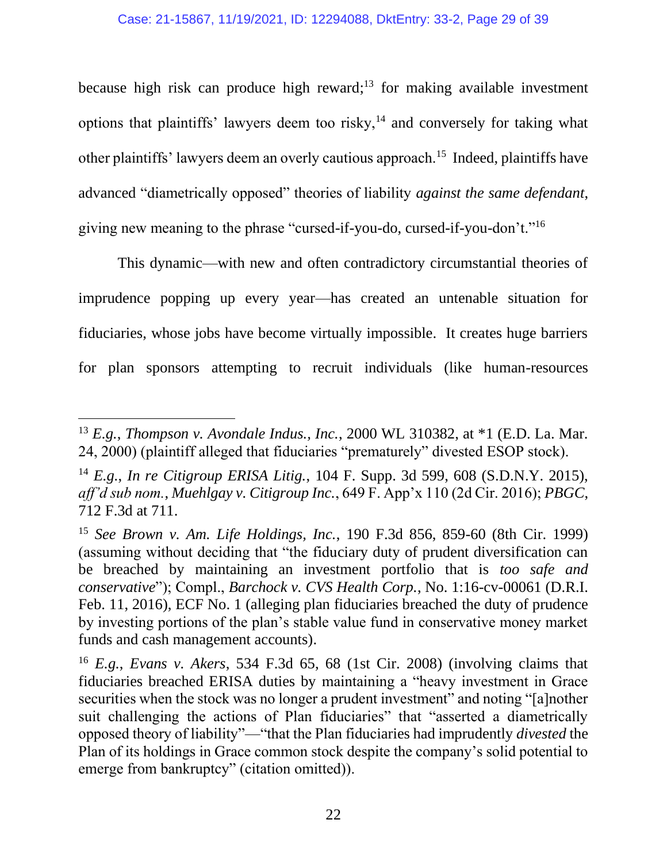because high risk can produce high reward; $13$  for making available investment options that plaintiffs' lawyers deem too risky, $14$  and conversely for taking what other plaintiffs' lawyers deem an overly cautious approach.<sup>15</sup> Indeed, plaintiffs have advanced "diametrically opposed" theories of liability *against the same defendant*, giving new meaning to the phrase "cursed-if-you-do, cursed-if-you-don't."<sup>16</sup>

This dynamic—with new and often contradictory circumstantial theories of imprudence popping up every year—has created an untenable situation for fiduciaries, whose jobs have become virtually impossible. It creates huge barriers for plan sponsors attempting to recruit individuals (like human-resources

<span id="page-28-4"></span><sup>13</sup> *E.g.*, *Thompson v. Avondale Indus., Inc.*, 2000 WL 310382, at \*1 (E.D. La. Mar. 24, 2000) (plaintiff alleged that fiduciaries "prematurely" divested ESOP stock).

<span id="page-28-3"></span><span id="page-28-1"></span><sup>14</sup> *E.g.*, *In re Citigroup ERISA Litig.*, 104 F. Supp. 3d 599, 608 (S.D.N.Y. 2015), *aff'd sub nom.*, *Muehlgay v. Citigroup Inc.*, 649 F. App'x 110 (2d Cir. 2016); *PBGC*, 712 F.3d at 711.

<span id="page-28-0"></span><sup>15</sup> *See Brown v. Am. Life Holdings, Inc.*, 190 F.3d 856, 859-60 (8th Cir. 1999) (assuming without deciding that "the fiduciary duty of prudent diversification can be breached by maintaining an investment portfolio that is *too safe and conservative*"); Compl., *Barchock v. CVS Health Corp.*, No. 1:16-cv-00061 (D.R.I. Feb. 11, 2016), ECF No. 1 (alleging plan fiduciaries breached the duty of prudence by investing portions of the plan's stable value fund in conservative money market funds and cash management accounts).

<span id="page-28-2"></span><sup>16</sup> *E.g.*, *Evans v. Akers*, 534 F.3d 65, 68 (1st Cir. 2008) (involving claims that fiduciaries breached ERISA duties by maintaining a "heavy investment in Grace securities when the stock was no longer a prudent investment" and noting "[a]nother suit challenging the actions of Plan fiduciaries" that "asserted a diametrically opposed theory of liability"—"that the Plan fiduciaries had imprudently *divested* the Plan of its holdings in Grace common stock despite the company's solid potential to emerge from bankruptcy" (citation omitted)).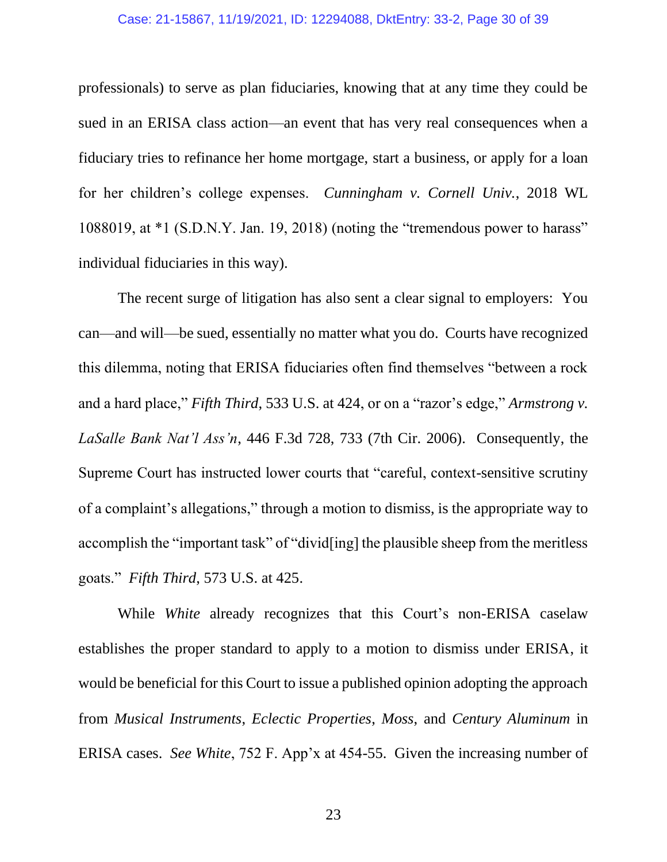#### Case: 21-15867, 11/19/2021, ID: 12294088, DktEntry: 33-2, Page 30 of 39

<span id="page-29-2"></span>professionals) to serve as plan fiduciaries, knowing that at any time they could be sued in an ERISA class action—an event that has very real consequences when a fiduciary tries to refinance her home mortgage, start a business, or apply for a loan for her children's college expenses. *Cunningham v. Cornell Univ.*, 2018 WL 1088019, at \*1 (S.D.N.Y. Jan. 19, 2018) (noting the "tremendous power to harass" individual fiduciaries in this way).

<span id="page-29-4"></span><span id="page-29-0"></span>The recent surge of litigation has also sent a clear signal to employers: You can—and will—be sued, essentially no matter what you do. Courts have recognized this dilemma, noting that ERISA fiduciaries often find themselves "between a rock and a hard place," *Fifth Third*, 533 U.S. at 424, or on a "razor's edge," *Armstrong v. LaSalle Bank Nat'l Ass'n*, 446 F.3d 728, 733 (7th Cir. 2006). Consequently, the Supreme Court has instructed lower courts that "careful, context-sensitive scrutiny of a complaint's allegations," through a motion to dismiss, is the appropriate way to accomplish the "important task" of "divid[ing] the plausible sheep from the meritless goats." *Fifth Third*, 573 U.S. at 425.

<span id="page-29-8"></span><span id="page-29-7"></span><span id="page-29-6"></span><span id="page-29-5"></span><span id="page-29-3"></span><span id="page-29-1"></span>While *White* already recognizes that this Court's non-ERISA caselaw establishes the proper standard to apply to a motion to dismiss under ERISA, it would be beneficial for this Court to issue a published opinion adopting the approach from *Musical Instruments*, *Eclectic Properties*, *Moss*, and *Century Aluminum* in ERISA cases. *See White*, 752 F. App'x at 454-55. Given the increasing number of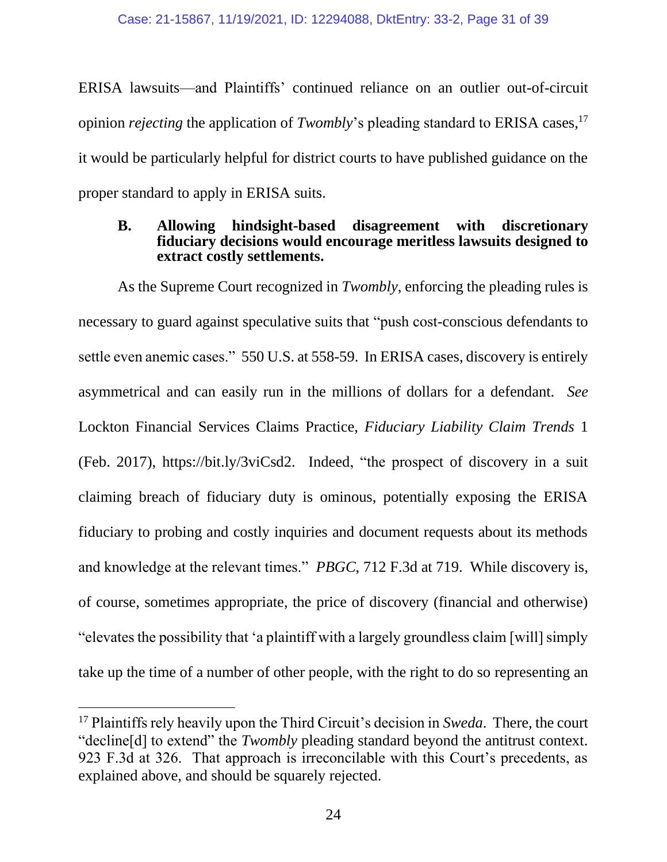ERISA lawsuits—and Plaintiffs' continued reliance on an outlier out-of-circuit opinion *rejecting* the application of *Twombly*'s pleading standard to ERISA cases,<sup>17</sup> it would be particularly helpful for district courts to have published guidance on the proper standard to apply in ERISA suits.

## <span id="page-30-0"></span>**B. Allowing hindsight-based disagreement with discretionary fiduciary decisions would encourage meritless lawsuits designed to extract costly settlements.**

<span id="page-30-4"></span>As the Supreme Court recognized in *Twombly*, enforcing the pleading rules is necessary to guard against speculative suits that "push cost-conscious defendants to settle even anemic cases." 550 U.S. at 558-59. In ERISA cases, discovery is entirely asymmetrical and can easily run in the millions of dollars for a defendant. *See*  Lockton Financial Services Claims Practice, *Fiduciary Liability Claim Trends* 1 (Feb. 2017), https://bit.ly/3viCsd2. Indeed, "the prospect of discovery in a suit claiming breach of fiduciary duty is ominous, potentially exposing the ERISA fiduciary to probing and costly inquiries and document requests about its methods and knowledge at the relevant times." *PBGC*, 712 F.3d at 719. While discovery is, of course, sometimes appropriate, the price of discovery (financial and otherwise) "elevates the possibility that 'a plaintiff with a largely groundless claim [will] simply take up the time of a number of other people, with the right to do so representing an

<span id="page-30-3"></span><span id="page-30-2"></span><span id="page-30-1"></span><sup>17</sup> Plaintiffs rely heavily upon the Third Circuit's decision in *Sweda*. There, the court "decline[d] to extend" the *Twombly* pleading standard beyond the antitrust context. 923 F.3d at 326. That approach is irreconcilable with this Court's precedents, as explained above, and should be squarely rejected.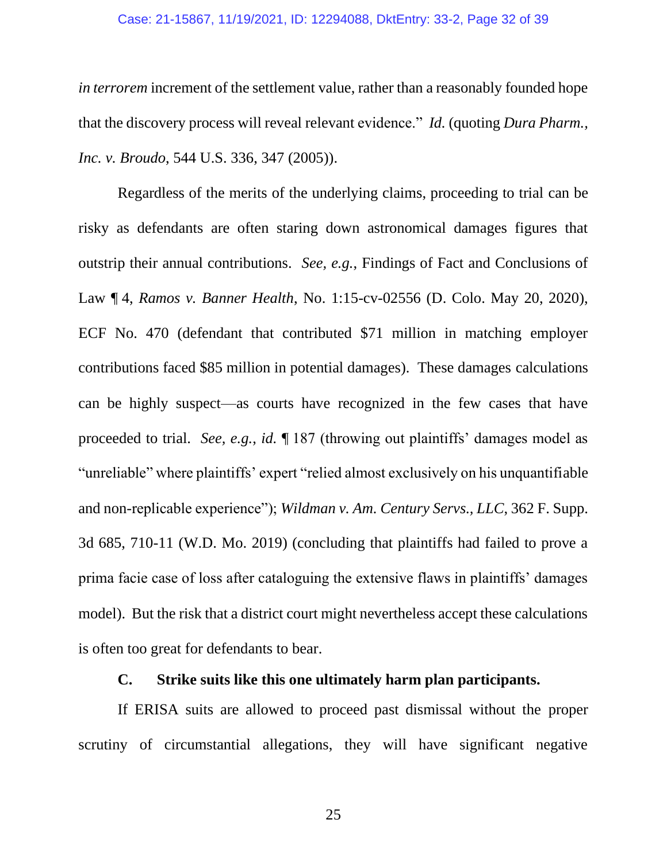#### <span id="page-31-1"></span>Case: 21-15867, 11/19/2021, ID: 12294088, DktEntry: 33-2, Page 32 of 39

*in terrorem* increment of the settlement value, rather than a reasonably founded hope that the discovery process will reveal relevant evidence." *Id.* (quoting *Dura Pharm., Inc. v. Broudo*, 544 U.S. 336, 347 (2005)).

Regardless of the merits of the underlying claims, proceeding to trial can be risky as defendants are often staring down astronomical damages figures that outstrip their annual contributions. *See, e.g.*, Findings of Fact and Conclusions of Law ¶ 4, *Ramos v. Banner Health*, No. 1:15-cv-02556 (D. Colo. May 20, 2020), ECF No. 470 (defendant that contributed \$71 million in matching employer contributions faced \$85 million in potential damages). These damages calculations can be highly suspect—as courts have recognized in the few cases that have proceeded to trial. *See, e.g.*, *id.* ¶ 187 (throwing out plaintiffs' damages model as "unreliable" where plaintiffs' expert "relied almost exclusively on his unquantifiable and non-replicable experience"); *Wildman v. Am. Century Servs., LLC*, 362 F. Supp. 3d 685, 710-11 (W.D. Mo. 2019) (concluding that plaintiffs had failed to prove a prima facie case of loss after cataloguing the extensive flaws in plaintiffs' damages model). But the risk that a district court might nevertheless accept these calculations is often too great for defendants to bear.

## <span id="page-31-2"></span>**C. Strike suits like this one ultimately harm plan participants.**

<span id="page-31-0"></span>If ERISA suits are allowed to proceed past dismissal without the proper scrutiny of circumstantial allegations, they will have significant negative

25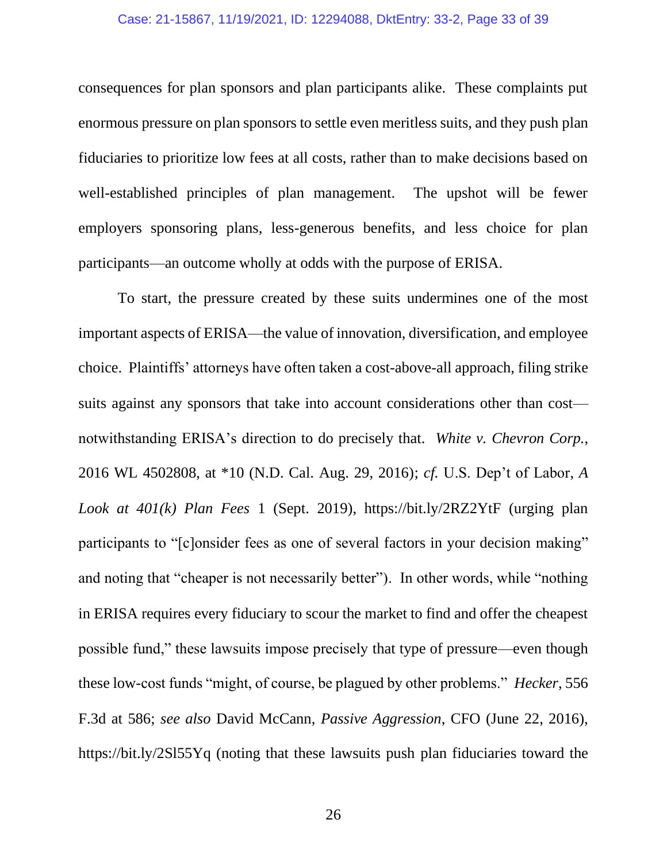#### Case: 21-15867, 11/19/2021, ID: 12294088, DktEntry: 33-2, Page 33 of 39

consequences for plan sponsors and plan participants alike. These complaints put enormous pressure on plan sponsors to settle even meritless suits, and they push plan fiduciaries to prioritize low fees at all costs, rather than to make decisions based on well-established principles of plan management. The upshot will be fewer employers sponsoring plans, less-generous benefits, and less choice for plan participants—an outcome wholly at odds with the purpose of ERISA.

<span id="page-32-3"></span><span id="page-32-2"></span><span id="page-32-1"></span><span id="page-32-0"></span>To start, the pressure created by these suits undermines one of the most important aspects of ERISA—the value of innovation, diversification, and employee choice. Plaintiffs' attorneys have often taken a cost-above-all approach, filing strike suits against any sponsors that take into account considerations other than cost notwithstanding ERISA's direction to do precisely that. *White v. Chevron Corp.*, 2016 WL 4502808, at \*10 (N.D. Cal. Aug. 29, 2016); *cf.* U.S. Dep't of Labor, *A Look at 401(k) Plan Fees* 1 (Sept. 2019), https://bit.ly/2RZ2YtF (urging plan participants to "[c]onsider fees as one of several factors in your decision making" and noting that "cheaper is not necessarily better"). In other words, while "nothing in ERISA requires every fiduciary to scour the market to find and offer the cheapest possible fund," these lawsuits impose precisely that type of pressure—even though these low-cost funds "might, of course, be plagued by other problems." *Hecker*, 556 F.3d at 586; *see also* David McCann, *Passive Aggression*, CFO (June 22, 2016), https://bit.ly/2Sl55Yq (noting that these lawsuits push plan fiduciaries toward the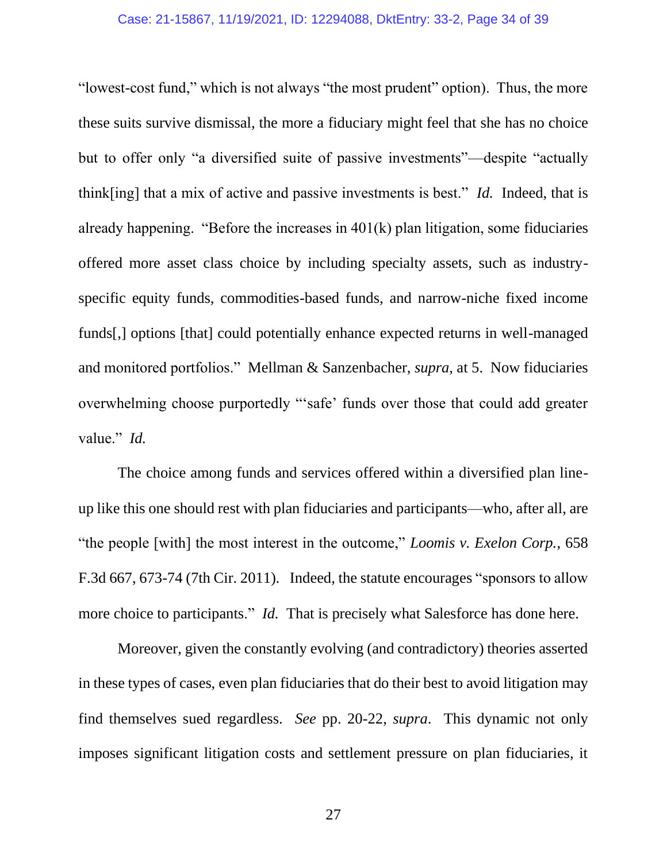#### Case: 21-15867, 11/19/2021, ID: 12294088, DktEntry: 33-2, Page 34 of 39

"lowest-cost fund," which is not always "the most prudent" option). Thus, the more these suits survive dismissal, the more a fiduciary might feel that she has no choice but to offer only "a diversified suite of passive investments"—despite "actually think[ing] that a mix of active and passive investments is best." *Id.* Indeed, that is already happening. "Before the increases in  $401(k)$  plan litigation, some fiduciaries offered more asset class choice by including specialty assets, such as industryspecific equity funds, commodities-based funds, and narrow-niche fixed income funds[,] options [that] could potentially enhance expected returns in well-managed and monitored portfolios." Mellman & Sanzenbacher, *supra*, at 5. Now fiduciaries overwhelming choose purportedly "'safe' funds over those that could add greater value." *Id.*

The choice among funds and services offered within a diversified plan lineup like this one should rest with plan fiduciaries and participants—who, after all, are "the people [with] the most interest in the outcome," *Loomis v. Exelon Corp.*, 658 F.3d 667, 673-74 (7th Cir. 2011)*.* Indeed, the statute encourages "sponsors to allow more choice to participants." *Id.* That is precisely what Salesforce has done here.

Moreover, given the constantly evolving (and contradictory) theories asserted in these types of cases, even plan fiduciaries that do their best to avoid litigation may find themselves sued regardless. *See* pp. 20-22, *supra*. This dynamic not only imposes significant litigation costs and settlement pressure on plan fiduciaries, it

<span id="page-33-0"></span>27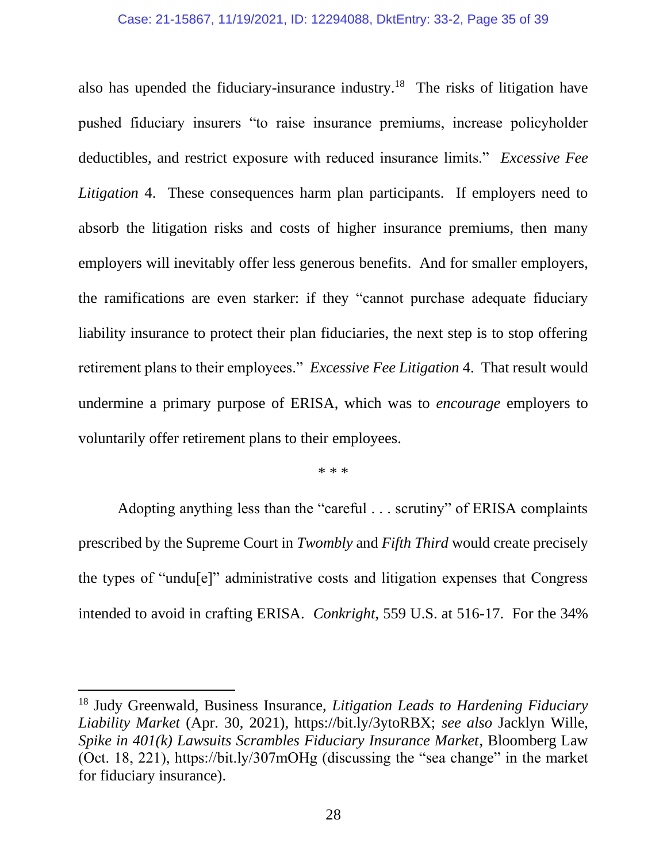### Case: 21-15867, 11/19/2021, ID: 12294088, DktEntry: 33-2, Page 35 of 39

also has upended the fiduciary-insurance industry.<sup>18</sup> The risks of litigation have pushed fiduciary insurers "to raise insurance premiums, increase policyholder deductibles, and restrict exposure with reduced insurance limits." *Excessive Fee Litigation* 4. These consequences harm plan participants. If employers need to absorb the litigation risks and costs of higher insurance premiums, then many employers will inevitably offer less generous benefits. And for smaller employers, the ramifications are even starker: if they "cannot purchase adequate fiduciary liability insurance to protect their plan fiduciaries, the next step is to stop offering retirement plans to their employees." *Excessive Fee Litigation* 4. That result would undermine a primary purpose of ERISA, which was to *encourage* employers to voluntarily offer retirement plans to their employees.

<span id="page-34-4"></span><span id="page-34-2"></span><span id="page-34-1"></span><span id="page-34-0"></span>\* \* \*

Adopting anything less than the "careful . . . scrutiny" of ERISA complaints prescribed by the Supreme Court in *Twombly* and *Fifth Third* would create precisely the types of "undu[e]" administrative costs and litigation expenses that Congress intended to avoid in crafting ERISA. *Conkright*, 559 U.S. at 516-17. For the 34%

<span id="page-34-3"></span><sup>18</sup> Judy Greenwald, Business Insurance, *Litigation Leads to Hardening Fiduciary Liability Market* (Apr. 30, 2021), https://bit.ly/3ytoRBX; *see also* Jacklyn Wille, *Spike in 401(k) Lawsuits Scrambles Fiduciary Insurance Market*, Bloomberg Law (Oct. 18, 221), https://bit.ly/307mOHg (discussing the "sea change" in the market for fiduciary insurance).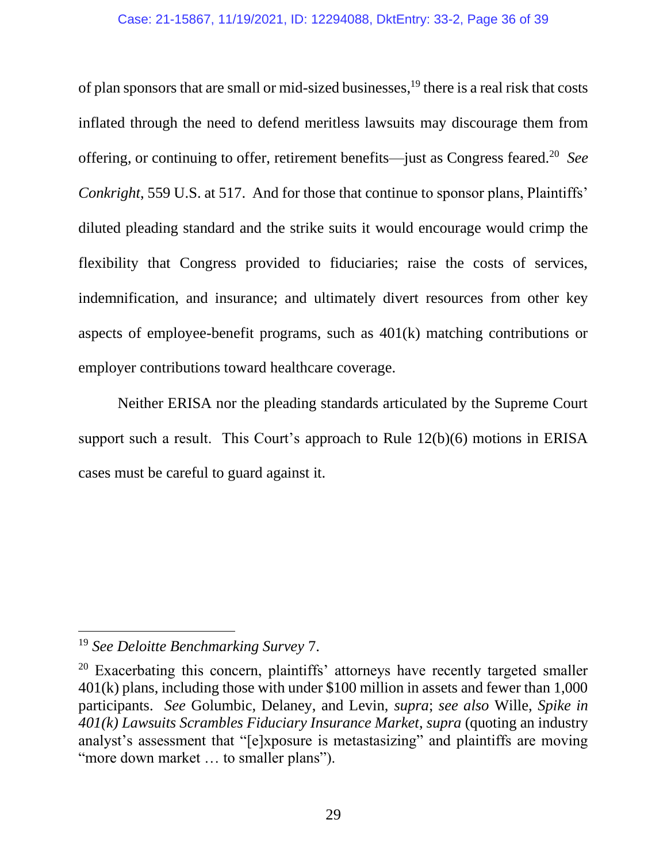### Case: 21-15867, 11/19/2021, ID: 12294088, DktEntry: 33-2, Page 36 of 39

of plan sponsors that are small or mid-sized businesses,<sup>19</sup> there is a real risk that costs inflated through the need to defend meritless lawsuits may discourage them from offering, or continuing to offer, retirement benefits—just as Congress feared.<sup>20</sup> *See Conkright*, 559 U.S. at 517. And for those that continue to sponsor plans, Plaintiffs' diluted pleading standard and the strike suits it would encourage would crimp the flexibility that Congress provided to fiduciaries; raise the costs of services, indemnification, and insurance; and ultimately divert resources from other key aspects of employee-benefit programs, such as 401(k) matching contributions or employer contributions toward healthcare coverage.

Neither ERISA nor the pleading standards articulated by the Supreme Court support such a result. This Court's approach to Rule 12(b)(6) motions in ERISA cases must be careful to guard against it.

<span id="page-35-0"></span><sup>19</sup> *See Deloitte Benchmarking Survey* 7.

<span id="page-35-1"></span> $20$  Exacerbating this concern, plaintiffs' attorneys have recently targeted smaller 401(k) plans, including those with under \$100 million in assets and fewer than 1,000 participants. *See* Golumbic, Delaney, and Levin, *supra*; *see also* Wille, *Spike in 401(k) Lawsuits Scrambles Fiduciary Insurance Market*, *supra* (quoting an industry analyst's assessment that "[e]xposure is metastasizing" and plaintiffs are moving "more down market ... to smaller plans").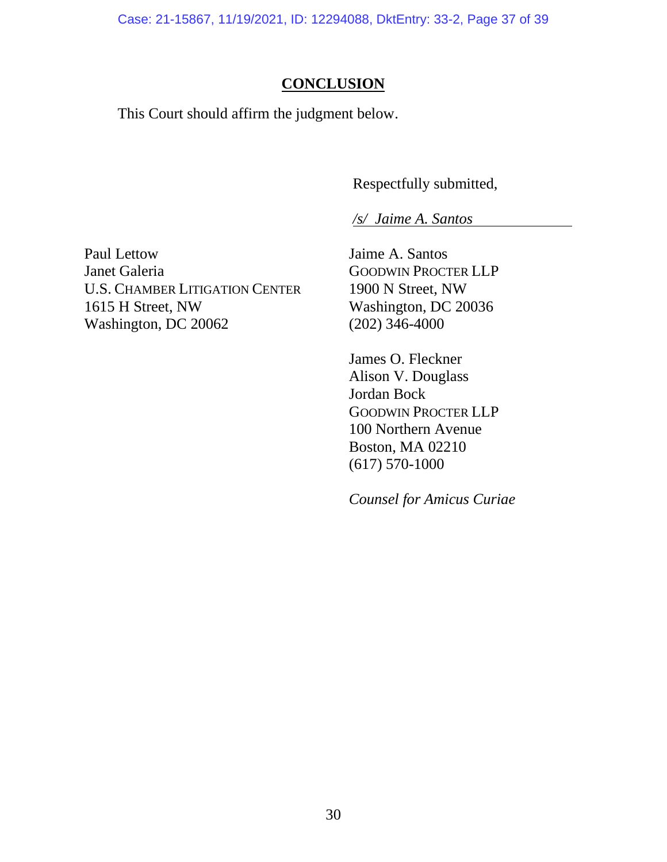Case: 21-15867, 11/19/2021, ID: 12294088, DktEntry: 33-2, Page 37 of 39

## **CONCLUSION**

<span id="page-36-0"></span>This Court should affirm the judgment below.

Respectfully submitted,

*/s/ Jaime A. Santos* 

Paul Lettow Janet Galeria U.S. CHAMBER LITIGATION CENTER 1615 H Street, NW Washington, DC 20062

Jaime A. Santos GOODWIN PROCTER LLP 1900 N Street, NW Washington, DC 20036 (202) 346-4000

James O. Fleckner Alison V. Douglass Jordan Bock GOODWIN PROCTER LLP 100 Northern Avenue Boston, MA 02210 (617) 570-1000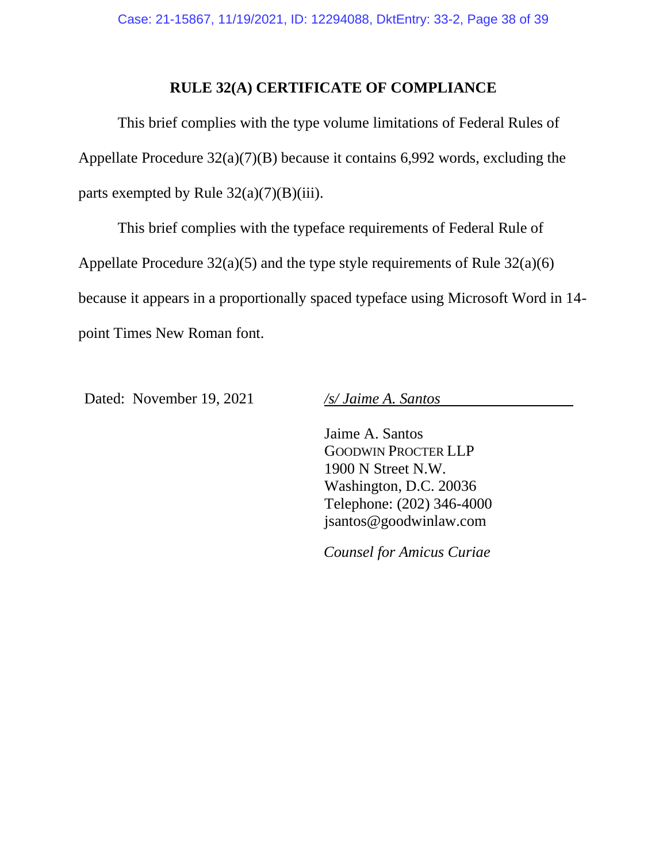## **RULE 32(A) CERTIFICATE OF COMPLIANCE**

This brief complies with the type volume limitations of Federal Rules of Appellate Procedure 32(a)(7)(B) because it contains 6,992 words, excluding the parts exempted by Rule  $32(a)(7)(B)(iii)$ .

This brief complies with the typeface requirements of Federal Rule of Appellate Procedure 32(a)(5) and the type style requirements of Rule 32(a)(6) because it appears in a proportionally spaced typeface using Microsoft Word in 14 point Times New Roman font.

Dated: November 19, 2021 */s/ Jaime A. Santos*

Jaime A. Santos GOODWIN PROCTER LLP 1900 N Street N.W. Washington, D.C. 20036 Telephone: (202) 346-4000 jsantos@goodwinlaw.com